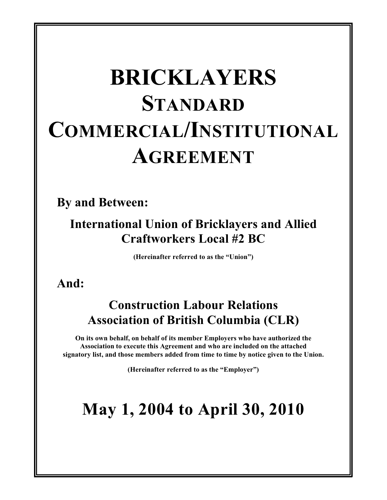# **BRICKLAYERS STANDARD COMMERCIAL/INSTITUTIONAL AGREEMENT**

**By and Between:**

### **International Union of Bricklayers and Allied Craftworkers Local #2 BC**

**(Hereinafter referred to as the "Union")**

### **And:**

### **Construction Labour Relations Association of British Columbia (CLR)**

**On its own behalf, on behalf of its member Employers who have authorized the Association to execute this Agreement and who are included on the attached signatory list, and those members added from time to time by notice given to the Union.**

**(Hereinafter referred to as the "Employer")**

## **May 1, 2004 to April 30, 2010**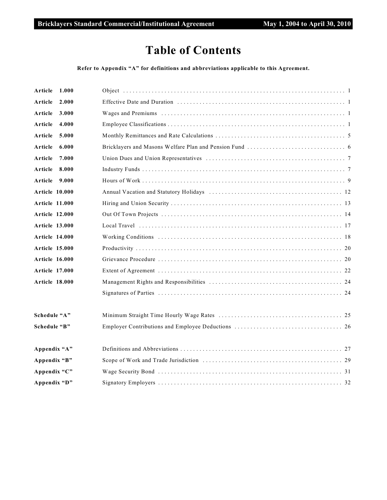### **Table of Contents**

#### **Refer to Appendix "A" for definitions and abbreviations applicable to this Agreement.**

| Article<br>1.000      |  |
|-----------------------|--|
| Article<br>2.000      |  |
| Article<br>3.000      |  |
| Article<br>4.000      |  |
| Article<br>5.000      |  |
| Article<br>6.000      |  |
| 7.000<br>Article      |  |
| 8.000<br>Article      |  |
| Article<br>9.000      |  |
| Article 10.000        |  |
| <b>Article 11.000</b> |  |
| <b>Article 12.000</b> |  |
| <b>Article 13.000</b> |  |
| <b>Article 14.000</b> |  |
| <b>Article 15.000</b> |  |
| <b>Article 16.000</b> |  |
| <b>Article 17.000</b> |  |
| <b>Article 18.000</b> |  |
|                       |  |
| Schedule "A"          |  |
| Schedule "B"          |  |
| Appendix "A"          |  |
| Appendix "B"          |  |
| Appendix "C"          |  |
| Appendix "D"          |  |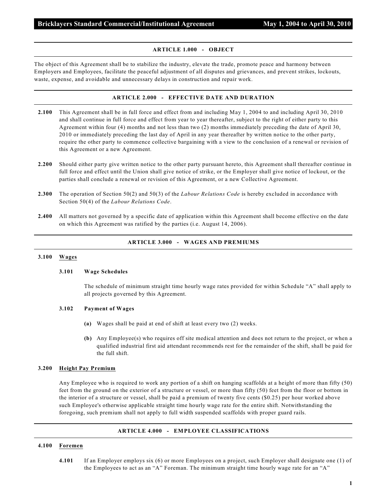#### **ARTICLE 1.000 - OBJECT**

The object of this Agreement shall be to stabilize the industry, elevate the trade, promote peace and harmony between Employers and Employees, facilitate the peaceful adjustment of all disputes and grievances, and prevent strikes, lockouts, waste, expense, and avoidable and unnecessary delays in construction and repair work.

#### **ARTICLE 2.000 - EFFECTIVE DATE AND DURATION**

- **2.100** This Agreement shall be in full force and effect from and including May 1, 2004 to and including April 30, 2010 and shall continue in full force and effect from year to year thereafter, subject to the right of either party to this Agreement within four (4) months and not less than two (2) months immediately preceding the date of April 30, 2010 or immediately preceding the last day of April in any year thereafter by written notice to the other party, require the other party to commence collective bargaining with a view to the conclusion of a renewal or revision of this Agreement or a new Agreement.
- **2.200** Should either party give written notice to the other party pursuant hereto, this Agreement shall thereafter continue in full force and effect until the Union shall give notice of strike, or the Employer shall give notice of lockout, or the parties shall conclude a renewal or revision of this Agreement, or a new Collective Agreement.
- **2.300** The operation of Section 50(2) and 50(3) of the *Labour Relations Code* is hereby excluded in accordance with Section 50(4) of the *Labour Relations Code*.
- **2.400** All matters not governed by a specific date of application within this Agreement shall become effective on the date on which this Agreement was ratified by the parties (i.e. August 14, 2006).

#### **ARTICLE 3.000 - WAGES AND PREMIUMS**

#### **3.100 Wages**

#### **3.101 Wage Schedules**

The schedule of minimum straight time hourly wage rates provided for within Schedule "A" shall apply to all projects governed by this Agreement.

#### **3.102 Payment of Wages**

- **(a)** Wages shall be paid at end of shift at least every two (2) weeks.
- **(b)** Any Employee(s) who requires off site medical attention and does not return to the project, or when a qualified industrial first aid attendant recommends rest for the remainder of the shift, shall be paid for the full shift.

#### **3.200 Height Pay Premium**

Any Employee who is required to work any portion of a shift on hanging scaffolds at a height of more than fifty (50) feet from the ground on the exterior of a structure or vessel, or more than fifty (50) feet from the floor or bottom in the interior of a structure or vessel, shall be paid a premium of twenty five cents (\$0.25) per hour worked above such Employee's otherwise applicable straight time hourly wage rate for the entire shift. Notwithstanding the foregoing, such premium shall not apply to full width suspended scaffolds with proper guard rails.

#### **ARTICLE 4.000 - EMPLOYEE CLASSIFICATIONS**

#### **4.100 Foremen**

**4.101** If an Employer employs six (6) or more Employees on a project, such Employer shall designate one (1) of the Employees to act as an "A" Foreman. The minimum straight time hourly wage rate for an "A"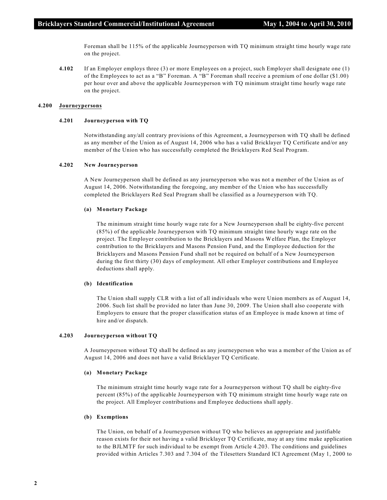Foreman shall be 115% of the applicable Journeyperson with TQ minimum straight time hourly wage rate on the project.

**4.102** If an Employer employs three (3) or more Employees on a project, such Employer shall designate one (1) of the Employees to act as a "B" Foreman. A "B" Foreman shall receive a premium of one dollar (\$1.00) per hour over and above the applicable Journeyperson with TQ minimum straight time hourly wage rate on the project.

#### **4.200 Journeypersons**

#### **4.201 Journeyperson with TQ**

Notwithstanding any/all contrary provisions of this Agreement, a Journeyperson with TQ shall be defined as any member of the Union as of August 14, 2006 who has a valid Bricklayer TQ Certificate and/or any member of the Union who has successfully completed the Bricklayers Red Seal Program.

#### **4.202 New Journeyperson**

A New Journeyperson shall be defined as any journeyperson who was not a member of the Union as of August 14, 2006. Notwithstanding the foregoing, any member of the Union who has successfully completed the Bricklayers Red Seal Program shall be classified as a Journeyperson with TQ.

#### **(a) Monetary Package**

The minimum straight time hourly wage rate for a New Journeyperson shall be eighty-five percent (85%) of the applicable Journeyperson with TQ minimum straight time hourly wage rate on the project. The Employer contribution to the Bricklayers and Masons Welfare Plan, the Employer contribution to the Bricklayers and Masons Pension Fund, and the Employee deduction for the Bricklayers and Masons Pension Fund shall not be required on behalf of a New Journeyperson during the first thirty (30) days of employment. All other Employer contributions and Employee deductions shall apply.

#### **(b) Identification**

The Union shall supply CLR with a list of all individuals who were Union members as of August 14, 2006. Such list shall be provided no later than June 30, 2009. The Union shall also cooperate with Employers to ensure that the proper classification status of an Employee is made known at time of hire and/or dispatch.

#### **4.203 Journeyperson without TQ**

A Journeyperson without TQ shall be defined as any journeyperson who was a member of the Union as of August 14, 2006 and does not have a valid Bricklayer TQ Certificate.

#### **(a) Monetary Package**

The minimum straight time hourly wage rate for a Journeyperson without TQ shall be eighty-five percent (85%) of the applicable Journeyperson with TQ minimum straight time hourly wage rate on the project. All Employer contributions and Employee deductions shall apply.

#### **(b) Exemptions**

The Union, on behalf of a Journeyperson without TQ who believes an appropriate and justifiable reason exists for their not having a valid Bricklayer TQ Certificate, may at any time make application to the BJLMTF for such individual to be exempt from Article 4.203. The conditions and guidelines provided within Articles 7.303 and 7.304 of the Tilesetters Standard ICI Agreement (May 1, 2000 to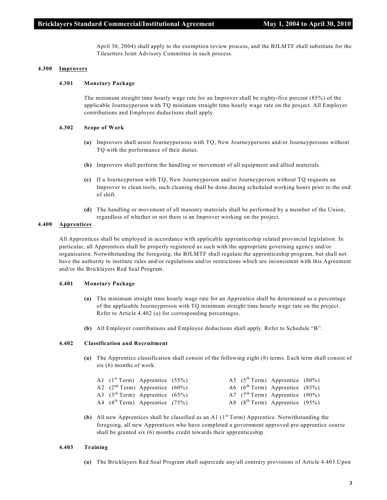April 30, 2004) shall apply to the exemption review process, and the BJLMTF shall substitute for the Tilesetters Joint Advisory Committee in such process.

#### **4.300 Improvers**

#### **4.301 Monetary Package**

The minimum straight time hourly wage rate for an Improver shall be eighty-five percent (85%) of the applicable Journeyperson with TQ minimum straight time hourly wage rate on the project. All Employer contributions and Employee deductions shall apply.

#### **4.302 Scope of Work**

- **(a)** Improvers shall assist Journeypersons with TQ, New Journeypersons and/or Journeypersons without TQ with the performance of their duties.
- **(b)** Improvers shall perform the handling or movement of all equipment and allied materials.
- **(c)** If a Journeyperson with TQ, New Journeyperson and/or Journeyperson without TQ requests an Improver to clean tools, such cleaning shall be done during scheduled working hours prior to the end of shift.
- **(d)** The handling or movement of all masonry materials shall be performed by a member of the Union, regardless of whether or not there is an Improver working on the project.

#### **4.400 Apprentices**

All Apprentices shall be employed in accordance with applicable apprenticeship related provincial legislation. In particular, all Apprentices shall be properly registered as such with the appropriate governing agency and/or organization. Notwithstanding the foregoing, the BJLMTF shall regulate the apprenticeship program, but shall not have the authority to institute rules and/or regulations and/or restrictions which are inconsistent with this Agreement and/or the Bricklayers Red Seal Program.

#### **4.401 Monetary Package**

- **(a)** The minimum straight time hourly wage rate for an Apprentice shall be determined as a percentage of the applicable Journeyperson with TQ minimum straight time hourly wage rate on the project. Refer to Article 4.402 (a) for corresponding percentages.
- **(b)** All Employer contributions and Employee deductions shall apply. Refer to Schedule "B".

#### **4.402 Classification and Recruitment**

**(a)** The Apprentice classification shall consist of the following eight (8) terms. Each term shall consist of six (6) months of work.

|  | A1 $(1st Term)$ Apprentice $(55%)$            |  | A5 $(5^{\text{th}}$ Term) Apprentice $(80\%)$ |  |
|--|-----------------------------------------------|--|-----------------------------------------------|--|
|  | A2 $(2nd Term)$ Apprentice $(60%)$            |  | A6 $(6th Term)$ Apprentice $(85%)$            |  |
|  | A3 $(3rd Term)$ Apprentice $(65%)$            |  | A7 $(7^{\text{th}}$ Term) Apprentice $(90\%)$ |  |
|  | A4 $(4^{\text{th}}$ Term) Apprentice $(75\%)$ |  | A8 $(8^{\text{th}}$ Term) Apprentice $(95\%)$ |  |

**(b)** All new Apprentices shall be classified as an A1  $(1<sup>st</sup> Term)$  Apprentice. Notwithstanding the foregoing, all new Apprentices who have completed a government approved pre-apprentice course shall be granted six (6) months credit towards their apprenticeship.

#### **4.403 Training**

**(a)** The Bricklayers Red Seal Program shall supercede any/all contrary provisions of Article 4.403.Upon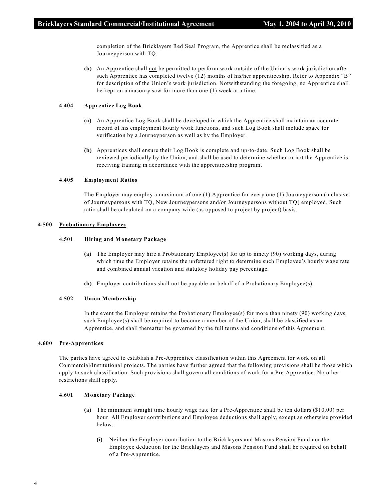completion of the Bricklayers Red Seal Program, the Apprentice shall be reclassified as a Journeyperson with TQ.

**(b)** An Apprentice shall not be permitted to perform work outside of the Union's work jurisdiction after such Apprentice has completed twelve (12) months of his/her apprenticeship. Refer to Appendix "B" for description of the Union's work jurisdiction. Notwithstanding the foregoing, no Apprentice shall be kept on a masonry saw for more than one (1) week at a time.

#### **4.404 Apprentice Log Book**

- **(a)** An Apprentice Log Book shall be developed in which the Apprentice shall maintain an accurate record of his employment hourly work functions, and such Log Book shall include space for verification by a Journeyperson as well as by the Employer.
- **(b)** Apprentices shall ensure their Log Book is complete and up-to-date. Such Log Book shall be reviewed periodically by the Union, and shall be used to determine whether or not the Apprentice is receiving training in accordance with the apprenticeship program.

#### **4.405 Employment Ratios**

The Employer may employ a maximum of one (1) Apprentice for every one (1) Journeyperson (inclusive of Journeypersons with TQ, New Journeypersons and/or Journeypersons without TQ) employed. Such ratio shall be calculated on a company-wide (as opposed to project by project) basis.

#### **4.500 Probationary Employees**

#### **4.501 Hiring and Monetary Package**

- **(a)** The Employer may hire a Probationary Employee(s) for up to ninety (90) working days, during which time the Employer retains the unfettered right to determine such Employee's hourly wage rate and combined annual vacation and statutory holiday pay percentage.
- **(b)** Employer contributions shall not be payable on behalf of a Probationary Employee(s).

#### **4.502 Union Membership**

In the event the Employer retains the Probationary Employee(s) for more than ninety (90) working days, such Employee(s) shall be required to become a member of the Union, shall be classified as an Apprentice, and shall thereafter be governed by the full terms and conditions of this Agreement.

#### **4.600 Pre-Apprentices**

The parties have agreed to establish a Pre-Apprentice classification within this Agreement for work on all Commercial/Institutional projects. The parties have further agreed that the following provisions shall be those which apply to such classification. Such provisions shall govern all conditions of work for a Pre-Apprentice. No other restrictions shall apply.

#### **4.601 Monetary Package**

- **(a)** The minimum straight time hourly wage rate for a Pre-Apprentice shall be ten dollars (\$10.00) per hour. All Employer contributions and Employee deductions shall apply, except as otherwise provided below.
	- **(i)** Neither the Employer contribution to the Bricklayers and Masons Pension Fund nor the Employee deduction for the Bricklayers and Masons Pension Fund shall be required on behalf of a Pre-Apprentice.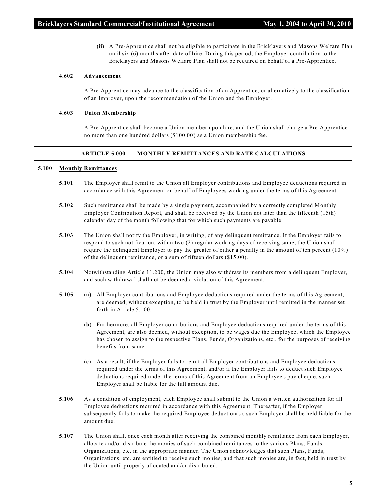**(ii)** A Pre-Apprentice shall not be eligible to participate in the Bricklayers and Masons Welfare Plan until six (6) months after date of hire. During this period, the Employer contribution to the Bricklayers and Masons Welfare Plan shall not be required on behalf of a Pre-Apprentice.

#### **4.602 Advancement**

A Pre-Apprentice may advance to the classification of an Apprentice, or alternatively to the classification of an Improver, upon the recommendation of the Union and the Employer.

#### **4.603 Union Membership**

A Pre-Apprentice shall become a Union member upon hire, and the Union shall charge a Pre-Apprentice no more than one hundred dollars (\$100.00) as a Union membership fee.

#### **ARTICLE 5.000 - MONTHLY REMITTANCES AND RATE CALCULATIONS**

#### **5.100 Monthly Remittances**

- **5.101** The Employer shall remit to the Union all Employer contributions and Employee deductions required in accordance with this Agreement on behalf of Employees working under the terms of this Agreement.
- **5.102** Such remittance shall be made by a single payment, accompanied by a correctly completed Monthly Employer Contribution Report, and shall be received by the Union not later than the fifteenth (15th) calendar day of the month following that for which such payments are payable.
- **5.103** The Union shall notify the Employer, in writing, of any delinquent remittance. If the Employer fails to respond to such notification, within two (2) regular working days of receiving same, the Union shall require the delinquent Employer to pay the greater of either a penalty in the amount of ten percent (10%) of the delinquent remittance, or a sum of fifteen dollars (\$15.00).
- **5.104** Notwithstanding Article 11.200, the Union may also withdraw its members from a delinquent Employer, and such withdrawal shall not be deemed a violation of this Agreement.
- **5.105 (a)** All Employer contributions and Employee deductions required under the terms of this Agreement, are deemed, without exception, to be held in trust by the Employer until remitted in the manner set forth in Article 5.100.
	- **(b)** Furthermore, all Employer contributions and Employee deductions required under the terms of this Agreement, are also deemed, without exception, to be wages due the Employee, which the Employee has chosen to assign to the respective Plans, Funds, Organizations, etc., for the purposes of receiving benefits from same.
	- **(c)** As a result, if the Employer fails to remit all Employer contributions and Employee deductions required under the terms of this Agreement, and/or if the Employer fails to deduct such Employee deductions required under the terms of this Agreement from an Employee's pay cheque, such Employer shall be liable for the full amount due.
- **5.106** As a condition of employment, each Employee shall submit to the Union a written authorization for all Employee deductions required in accordance with this Agreement. Thereafter, if the Employer subsequently fails to make the required Employee deduction(s), such Employer shall be held liable for the amount due.
- **5.107** The Union shall, once each month after receiving the combined monthly remittance from each Employer, allocate and/or distribute the monies of such combined remittances to the various Plans, Funds, Organizations, etc. in the appropriate manner. The Union acknowledges that such Plans, Funds, Organizations, etc. are entitled to receive such monies, and that such monies are, in fact, held in trust by the Union until properly allocated and/or distributed.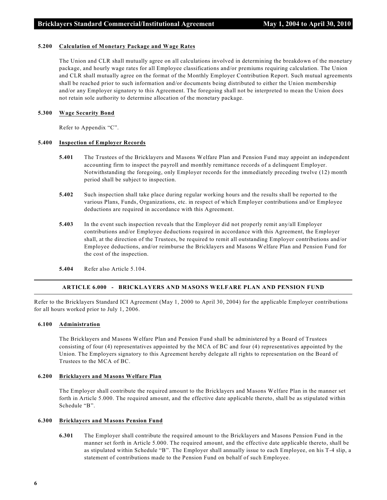#### **5.200 Calculation of Monetary Package and Wage Rates**

The Union and CLR shall mutually agree on all calculations involved in determining the breakdown of the monetary package, and hourly wage rates for all Employee classifications and/or premiums requiring calculation. The Union and CLR shall mutually agree on the format of the Monthly Employer Contribution Report. Such mutual agreements shall be reached prior to such information and/or documents being distributed to either the Union membership and/or any Employer signatory to this Agreement. The foregoing shall not be interpreted to mean the Union does not retain sole authority to determine allocation of the monetary package.

#### **5.300 Wage Security Bond**

Refer to Appendix "C".

#### **5.400 Inspection of Employer Records**

- **5.401** The Trustees of the Bricklayers and Masons Welfare Plan and Pension Fund may appoint an independent accounting firm to inspect the payroll and monthly remittance records of a delinquent Employer. Notwithstanding the foregoing, only Employer records for the immediately preceding twelve (12) month period shall be subject to inspection.
- **5.402** Such inspection shall take place during regular working hours and the results shall be reported to the various Plans, Funds, Organizations, etc. in respect of which Employer contributions and/or Employee deductions are required in accordance with this Agreement.
- **5.403** In the event such inspection reveals that the Employer did not properly remit any/all Employer contributions and/or Employee deductions required in accordance with this Agreement, the Employer shall, at the direction of the Trustees, be required to remit all outstanding Employer contributions and/or Employee deductions, and/or reimburse the Bricklayers and Masons Welfare Plan and Pension Fund for the cost of the inspection.
- **5.404** Refer also Article 5.104.

#### **ARTICLE 6.000 - BRICKLAYERS AND MASONS WELFARE PLAN AND PENSION FUND**

Refer to the Bricklayers Standard ICI Agreement (May 1, 2000 to April 30, 2004) for the applicable Employer contributions for all hours worked prior to July 1, 2006.

#### **6.100 Administration**

The Bricklayers and Masons Welfare Plan and Pension Fund shall be administered by a Board of Trustees consisting of four (4) representatives appointed by the MCA of BC and four (4) representatives appointed by the Union. The Employers signatory to this Agreement hereby delegate all rights to representation on the Board of Trustees to the MCA of BC.

#### **6.200 Bricklayers and Masons Welfare Plan**

The Employer shall contribute the required amount to the Bricklayers and Masons Welfare Plan in the manner set forth in Article 5.000. The required amount, and the effective date applicable thereto, shall be as stipulated within Schedule "B".

#### **6.300 Bricklayers and Masons Pension Fund**

**6.301** The Employer shall contribute the required amount to the Bricklayers and Masons Pension Fund in the manner set forth in Article 5.000. The required amount, and the effective date applicable thereto, shall be as stipulated within Schedule "B". The Employer shall annually issue to each Employee, on his T-4 slip, a statement of contributions made to the Pension Fund on behalf of such Employee.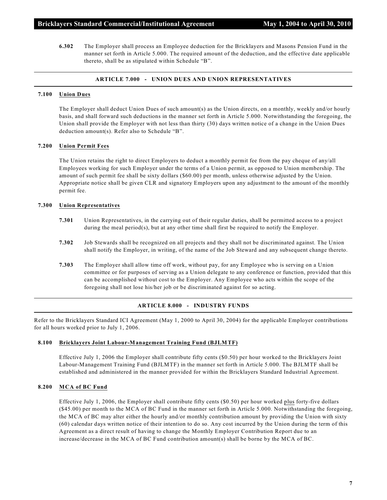**6.302** The Employer shall process an Employee deduction for the Bricklayers and Masons Pension Fund in the manner set forth in Article 5.000. The required amount of the deduction, and the effective date applicable thereto, shall be as stipulated within Schedule "B".

#### **ARTICLE 7.000 - UNION DUES AND UNION REPRESENTATIVES**

#### **7.100 Union Dues**

The Employer shall deduct Union Dues of such amount(s) as the Union directs, on a monthly, weekly and/or hourly basis, and shall forward such deductions in the manner set forth in Article 5.000. Notwithstanding the foregoing, the Union shall provide the Employer with not less than thirty (30) days written notice of a change in the Union Dues deduction amount(s). Refer also to Schedule "B".

#### **7.200 Union Permit Fees**

The Union retains the right to direct Employers to deduct a monthly permit fee from the pay cheque of any/all Employees working for such Employer under the terms of a Union permit, as opposed to Union membership. The amount of such permit fee shall be sixty dollars (\$60.00) per month, unless otherwise adjusted by the Union. Appropriate notice shall be given CLR and signatory Employers upon any adjustment to the amount of the monthly permit fee.

#### **7.300 Union Representatives**

- **7.301** Union Representatives, in the carrying out of their regular duties, shall be permitted access to a project during the meal period(s), but at any other time shall first be required to notify the Employer.
- **7.302** Job Stewards shall be recognized on all projects and they shall not be discriminated against. The Union shall notify the Employer, in writing, of the name of the Job Steward and any subsequent change thereto.
- **7.303** The Employer shall allow time off work, without pay, for any Employee who is serving on a Union committee or for purposes of serving as a Union delegate to any conference or function, provided that this can be accomplished without cost to the Employer. Any Employee who acts within the scope of the foregoing shall not lose his/her job or be discriminated against for so acting.

#### **ARTICLE 8.000 - INDUSTRY FUNDS**

Refer to the Bricklayers Standard ICI Agreement (May 1, 2000 to April 30, 2004) for the applicable Employer contributions for all hours worked prior to July 1, 2006.

#### **8.100 Bricklayers Joint Labour-Management Training Fund (BJLMTF)**

Effective July 1, 2006 the Employer shall contribute fifty cents (\$0.50) per hour worked to the Bricklayers Joint Labour-Management Training Fund (BJLMTF) in the manner set forth in Article 5.000. The BJLMTF shall be established and administered in the manner provided for within the Bricklayers Standard Industrial Agreement.

#### **8.200 MCA of BC Fund**

Effective July 1, 2006, the Employer shall contribute fifty cents (\$0.50) per hour worked plus forty-five dollars (\$45.00) per month to the MCA of BC Fund in the manner set forth in Article 5.000. Notwithstanding the foregoing, the MCA of BC may alter either the hourly and/or monthly contribution amount by providing the Union with sixty (60) calendar days written notice of their intention to do so. Any cost incurred by the Union during the term of this Agreement as a direct result of having to change the Monthly Employer Contribution Report due to an increase/decrease in the MCA of BC Fund contribution amount(s) shall be borne by the MCA of BC.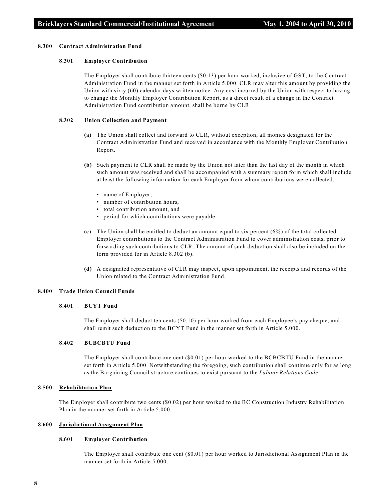#### **8.300 Contract Administration Fund**

#### **8.301 Employer Contribution**

The Employer shall contribute thirteen cents (\$0.13) per hour worked, inclusive of GST, to the Contract Administration Fund in the manner set forth in Article 5.000. CLR may alter this amount by providing the Union with sixty (60) calendar days written notice. Any cost incurred by the Union with respect to having to change the Monthly Employer Contribution Report, as a direct result of a change in the Contract Administration Fund contribution amount, shall be borne by CLR.

#### **8.302 Union Collection and Payment**

- **(a)** The Union shall collect and forward to CLR, without exception, all monies designated for the Contract Administration Fund and received in accordance with the Monthly Employer Contribution Report.
- **(b)** Such payment to CLR shall be made by the Union not later than the last day of the month in which such amount was received and shall be accompanied with a summary report form which shall include at least the following information for each Employer from whom contributions were collected:
	- name of Employer,
	- number of contribution hours,
	- total contribution amount, and
	- period for which contributions were payable.
- **(c)** The Union shall be entitled to deduct an amount equal to six percent (6%) of the total collected Employer contributions to the Contract Administration Fund to cover administration costs, prior to forwarding such contributions to CLR. The amount of such deduction shall also be included on the form provided for in Article 8.302 (b).
- **(d)** A designated representative of CLR may inspect, upon appointment, the receipts and records of the Union related to the Contract Administration Fund.

#### **8.400 Trade Union Council Funds**

#### **8.401 BCYT Fund**

The Employer shall deduct ten cents (\$0.10) per hour worked from each Employee's pay cheque, and shall remit such deduction to the BCYT Fund in the manner set forth in Article 5.000.

#### **8.402 BCBCBTU Fund**

The Employer shall contribute one cent (\$0.01) per hour worked to the BCBCBTU Fund in the manner set forth in Article 5.000. Notwithstanding the foregoing, such contribution shall continue only for as long as the Bargaining Council structure continues to exist pursuant to the *Labour Relations Code*.

#### **8.500 Rehabilitation Plan**

The Employer shall contribute two cents (\$0.02) per hour worked to the BC Construction Industry Rehabilitation Plan in the manner set forth in Article 5.000.

#### **8.600 Jurisdictional Assignment Plan**

#### **8.601 Employer Contribution**

The Employer shall contribute one cent (\$0.01) per hour worked to Jurisdictional Assignment Plan in the manner set forth in Article 5.000.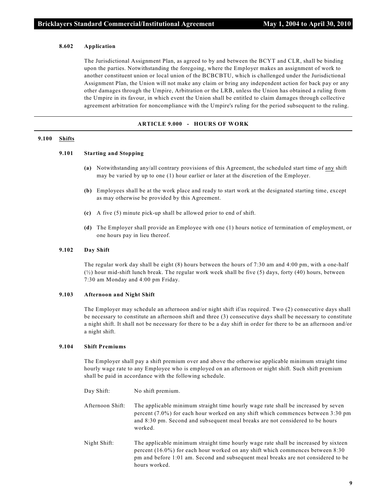#### **8.602 Application**

The Jurisdictional Assignment Plan, as agreed to by and between the BCYT and CLR, shall be binding upon the parties. Notwithstanding the foregoing, where the Employer makes an assignment of work to another constituent union or local union of the BCBCBTU, which is challenged under the Jurisdictional Assignment Plan, the Union will not make any claim or bring any independent action for back pay or any other damages through the Umpire, Arbitration or the LRB, unless the Union has obtained a ruling from the Umpire in its favour, in which event the Union shall be entitled to claim damages through collective agreement arbitration for noncompliance with the Umpire's ruling for the period subsequent to the ruling.

#### **ARTICLE 9.000 - HOURS OF WORK**

#### **9.100 Shifts**

#### **9.101 Starting and Stopping**

- **(a)** Notwithstanding any/all contrary provisions of this Agreement, the scheduled start time of any shift may be varied by up to one (1) hour earlier or later at the discretion of the Employer.
- **(b)** Employees shall be at the work place and ready to start work at the designated starting time, except as may otherwise be provided by this Agreement.
- **(c)** A five (5) minute pick-up shall be allowed prior to end of shift.
- **(d)** The Employer shall provide an Employee with one (1) hours notice of termination of employment, or one hours pay in lieu thereof.

#### **9.102 Day Shift**

The regular work day shall be eight (8) hours between the hours of 7:30 am and 4:00 pm, with a one-half (½) hour mid-shift lunch break. The regular work week shall be five (5) days, forty (40) hours, between 7:30 am Monday and 4:00 pm Friday.

#### **9.103 Afternoon and Night Shift**

The Employer may schedule an afternoon and/or night shift if/as required. Two (2) consecutive days shall be necessary to constitute an afternoon shift and three (3) consecutive days shall be necessary to constitute a night shift. It shall not be necessary for there to be a day shift in order for there to be an afternoon and/or a night shift.

#### **9.104 Shift Premiums**

The Employer shall pay a shift premium over and above the otherwise applicable minimum straight time hourly wage rate to any Employee who is employed on an afternoon or night shift. Such shift premium shall be paid in accordance with the following schedule.

| Day Shift:       | No shift premium.                                                                                                                                                                                                                                                              |
|------------------|--------------------------------------------------------------------------------------------------------------------------------------------------------------------------------------------------------------------------------------------------------------------------------|
| Afternoon Shift: | The applicable minimum straight time hourly wage rate shall be increased by seven<br>percent $(7.0\%)$ for each hour worked on any shift which commences between 3:30 pm<br>and 8:30 pm. Second and subsequent meal breaks are not considered to be hours<br>worked.           |
| Night Shift:     | The applicable minimum straight time hourly wage rate shall be increased by sixteen<br>percent $(16.0\%)$ for each hour worked on any shift which commences between 8:30<br>pm and before 1:01 am. Second and subsequent meal breaks are not considered to be<br>hours worked. |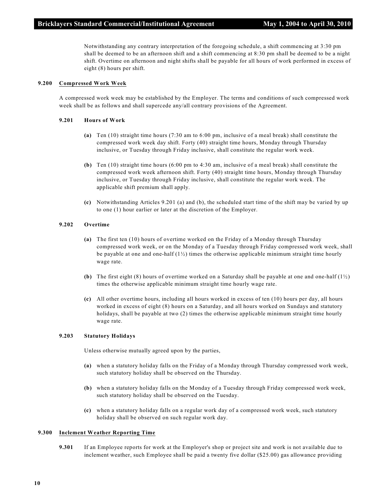Notwithstanding any contrary interpretation of the foregoing schedule, a shift commencing at 3:30 pm shall be deemed to be an afternoon shift and a shift commencing at 8:30 pm shall be deemed to be a night shift. Overtime on afternoon and night shifts shall be payable for all hours of work performed in excess of eight (8) hours per shift.

#### **9.200 Compressed Work Week**

A compressed work week may be established by the Employer. The terms and conditions of such compressed work week shall be as follows and shall supercede any/all contrary provisions of the Agreement.

#### **9.201 Hours of Work**

- **(a)** Ten (10) straight time hours (7:30 am to 6:00 pm, inclusive of a meal break) shall constitute the compressed work week day shift. Forty (40) straight time hours, Monday through Thursday inclusive, or Tuesday through Friday inclusive, shall constitute the regular work week.
- **(b)** Ten (10) straight time hours (6:00 pm to 4:30 am, inclusive of a meal break) shall constitute the compressed work week afternoon shift. Forty (40) straight time hours, Monday through Thursday inclusive, or Tuesday through Friday inclusive, shall constitute the regular work week. The applicable shift premium shall apply.
- **(c)** Notwithstanding Articles 9.201 (a) and (b), the scheduled start time of the shift may be varied by up to one (1) hour earlier or later at the discretion of the Employer.

#### **9.202 Overtime**

- **(a)** The first ten (10) hours of overtime worked on the Friday of a Monday through Thursday compressed work week, or on the Monday of a Tuesday through Friday compressed work week, shall be payable at one and one-half  $(1/2)$  times the otherwise applicable minimum straight time hourly wage rate.
- **(b)** The first eight (8) hours of overtime worked on a Saturday shall be payable at one and one-half (1½) times the otherwise applicable minimum straight time hourly wage rate.
- **(c)** All other overtime hours, including all hours worked in excess of ten (10) hours per day, all hours worked in excess of eight (8) hours on a Saturday, and all hours worked on Sundays and statutory holidays, shall be payable at two (2) times the otherwise applicable minimum straight time hourly wage rate.

#### **9.203 Statutory Holidays**

Unless otherwise mutually agreed upon by the parties,

- **(a)** when a statutory holiday falls on the Friday of a Monday through Thursday compressed work week, such statutory holiday shall be observed on the Thursday.
- **(b)** when a statutory holiday falls on the Monday of a Tuesday through Friday compressed work week, such statutory holiday shall be observed on the Tuesday.
- **(c)** when a statutory holiday falls on a regular work day of a compressed work week, such statutory holiday shall be observed on such regular work day.

#### **9.300 Inclement Weather Reporting Time**

**9.301** If an Employee reports for work at the Employer's shop or project site and work is not available due to inclement weather, such Employee shall be paid a twenty five dollar (\$25.00) gas allowance providing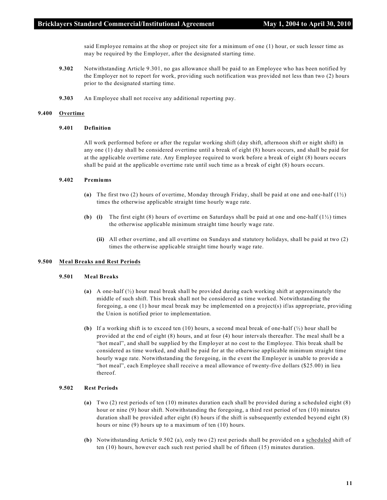said Employee remains at the shop or project site for a minimum of one (1) hour, or such lesser time as may be required by the Employer, after the designated starting time.

- **9.302** Notwithstanding Article 9.301, no gas allowance shall be paid to an Employee who has been notified by the Employer not to report for work, providing such notification was provided not less than two (2) hours prior to the designated starting time.
- **9.303** An Employee shall not receive any additional reporting pay.

#### **9.400 Overtime**

#### **9.401 Definition**

All work performed before or after the regular working shift (day shift, afternoon shift or night shift) in any one (1) day shall be considered overtime until a break of eight (8) hours occurs, and shall be paid for at the applicable overtime rate. Any Employee required to work before a break of eight (8) hours occurs shall be paid at the applicable overtime rate until such time as a break of eight (8) hours occurs.

#### **9.402 Premiums**

- **(a)** The first two (2) hours of overtime, Monday through Friday, shall be paid at one and one-half (1½) times the otherwise applicable straight time hourly wage rate.
- **(b) (i)** The first eight (8) hours of overtime on Saturdays shall be paid at one and one-half  $(1/2)$  times the otherwise applicable minimum straight time hourly wage rate.
	- **(ii)** All other overtime, and all overtime on Sundays and statutory holidays, shall be paid at two (2) times the otherwise applicable straight time hourly wage rate.

#### **9.500 Meal Breaks and Rest Periods**

#### **9.501 Meal Breaks**

- **(a)** A one-half (½) hour meal break shall be provided during each working shift at approximately the middle of such shift. This break shall not be considered as time worked. Notwithstanding the foregoing, a one (1) hour meal break may be implemented on a project(s) if/as appropriate, providing the Union is notified prior to implementation.
- **(b)** If a working shift is to exceed ten (10) hours, a second meal break of one-half (½) hour shall be provided at the end of eight (8) hours, and at four (4) hour intervals thereafter. The meal shall be a "hot meal", and shall be supplied by the Employer at no cost to the Employee. This break shall be considered as time worked, and shall be paid for at the otherwise applicable minimum straight time hourly wage rate. Notwithstanding the foregoing, in the event the Employer is unable to provide a "hot meal", each Employee shall receive a meal allowance of twenty-five dollars (\$25.00) in lieu thereof.

#### **9.502 Rest Periods**

- **(a)** Two (2) rest periods of ten (10) minutes duration each shall be provided during a scheduled eight (8) hour or nine (9) hour shift. Notwithstanding the foregoing, a third rest period of ten (10) minutes duration shall be provided after eight (8) hours if the shift is subsequently extended beyond eight (8) hours or nine (9) hours up to a maximum of ten (10) hours.
- **(b)** Notwithstanding Article 9.502 (a), only two (2) rest periods shall be provided on a scheduled shift of ten (10) hours, however each such rest period shall be of fifteen (15) minutes duration.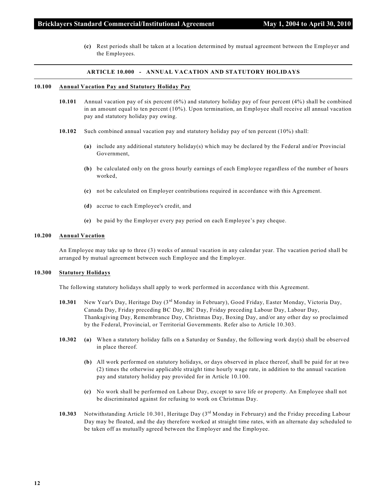**(c)** Rest periods shall be taken at a location determined by mutual agreement between the Employer and the Employees.

#### **ARTICLE 10.000 - ANNUAL VACATION AND STATUTORY HOLIDAYS**

#### **10.100 Annual Vacation Pay and Statutory Holiday Pay**

- **10.101** Annual vacation pay of six percent (6%) and statutory holiday pay of four percent (4%) shall be combined in an amount equal to ten percent (10%). Upon termination, an Employee shall receive all annual vacation pay and statutory holiday pay owing.
- **10.102** Such combined annual vacation pay and statutory holiday pay of ten percent (10%) shall:
	- **(a)** include any additional statutory holiday(s) which may be declared by the Federal and/or Provincial Government,
	- **(b)** be calculated only on the gross hourly earnings of each Employee regardless of the number of hours worked,
	- **(c)** not be calculated on Employer contributions required in accordance with this Agreement.
	- **(d)** accrue to each Employee's credit, and
	- **(e)** be paid by the Employer every pay period on each Employee's pay cheque.

#### **10.200 Annual Vacation**

An Employee may take up to three (3) weeks of annual vacation in any calendar year. The vacation period shall be arranged by mutual agreement between such Employee and the Employer.

#### **10.300 Statutory Holidays**

The following statutory holidays shall apply to work performed in accordance with this Agreement.

- 10.301 New Year's Day, Heritage Day (3<sup>rd</sup> Monday in February), Good Friday, Easter Monday, Victoria Day, Canada Day, Friday preceding BC Day, BC Day, Friday preceding Labour Day, Labour Day, Thanksgiving Day, Remembrance Day, Christmas Day, Boxing Day, and/or any other day so proclaimed by the Federal, Provincial, or Territorial Governments. Refer also to Article 10.303.
- **10.302 (a)** When a statutory holiday falls on a Saturday or Sunday, the following work day(s) shall be observed in place thereof.
	- **(b)** All work performed on statutory holidays, or days observed in place thereof, shall be paid for at two (2) times the otherwise applicable straight time hourly wage rate, in addition to the annual vacation pay and statutory holiday pay provided for in Article 10.100.
	- **(c)** No work shall be performed on Labour Day, except to save life or property. An Employee shall not be discriminated against for refusing to work on Christmas Day.
- **10.303** Notwithstanding Article 10.301, Heritage Day (3<sup>rd</sup> Monday in February) and the Friday preceding Labour Day may be floated, and the day therefore worked at straight time rates, with an alternate day scheduled to be taken off as mutually agreed between the Employer and the Employee.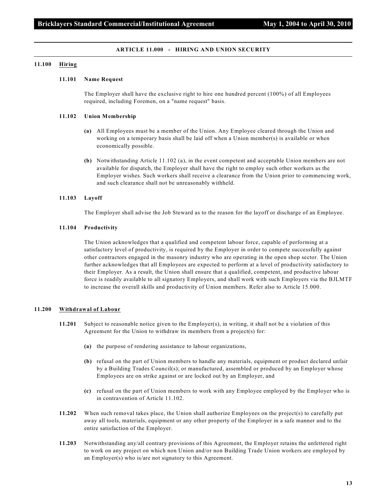#### **ARTICLE 11.000 - HIRING AND UNION SECURITY**

#### **11.100 Hiring**

#### **11.101 Name Request**

The Employer shall have the exclusive right to hire one hundred percent (100%) of all Employees required, including Foremen, on a "name request" basis.

#### **11.102 Union Membership**

- **(a)** All Employees must be a member of the Union. Any Employee cleared through the Union and working on a temporary basis shall be laid off when a Union member(s) is available or when economically possible.
- **(b)** Notwithstanding Article 11.102 (a), in the event competent and acceptable Union members are not available for dispatch, the Employer shall have the right to employ such other workers as the Employer wishes. Such workers shall receive a clearance from the Union prior to commencing work, and such clearance shall not be unreasonably withheld.

#### **11.103 Layoff**

The Employer shall advise the Job Steward as to the reason for the layoff or discharge of an Employee.

#### **11.104 Productivity**

The Union acknowledges that a qualified and competent labour force, capable of performing at a satisfactory level of productivity, is required by the Employer in order to compete successfully against other contractors engaged in the masonry industry who are operating in the open shop sector. The Union further acknowledges that all Employees are expected to perform at a level of productivity satisfactory to their Employer. As a result, the Union shall ensure that a qualified, competent, and productive labour force is readily available to all signatory Employers, and shall work with such Employers via the BJLMTF to increase the overall skills and productivity of Union members. Refer also to Article 15.000.

#### **11.200 Withdrawal of Labour**

- **11.201** Subject to reasonable notice given to the Employer(s), in writing, it shall not be a violation of this Agreement for the Union to withdraw its members from a project(s) for:
	- **(a)** the purpose of rendering assistance to labour organizations,
	- **(b)** refusal on the part of Union members to handle any materials, equipment or product declared unfair by a Building Trades Council(s); or manufactured, assembled or produced by an Employer whose Employees are on strike against or are locked out by an Employer, and
	- **(c)** refusal on the part of Union members to work with any Employee employed by the Employer who is in contravention of Article 11.102.
- **11.202** When such removal takes place, the Union shall authorize Employees on the project(s) to carefully put away all tools, materials, equipment or any other property of the Employer in a safe manner and to the entire satisfaction of the Employer.
- **11.203** Notwithstanding any/all contrary provisions of this Agreement, the Employer retains the unfettered right to work on any project on which non Union and/or non Building Trade Union workers are employed by an Employer(s) who is/are not signatory to this Agreement.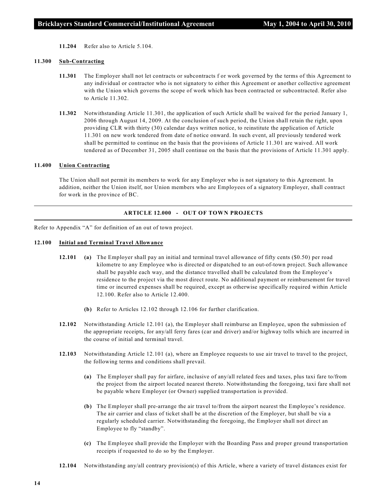**11.204** Refer also to Article 5.104.

#### **11.300 Sub-Contracting**

- **11.301** The Employer shall not let contracts or subcontracts f or work governed by the terms of this Agreement to any individual or contractor who is not signatory to either this Agreement or another collective agreement with the Union which governs the scope of work which has been contracted or subcontracted. Refer also to Article 11.302.
- **11.302** Notwithstanding Article 11.301, the application of such Article shall be waived for the period January 1, 2006 through August 14, 2009. At the conclusion of such period, the Union shall retain the right, upon providing CLR with thirty (30) calendar days written notice, to reinstitute the application of Article 11.301 on new work tendered from date of notice onward. In such event, all previously tendered work shall be permitted to continue on the basis that the provisions of Article 11.301 are waived. All work tendered as of December 31, 2005 shall continue on the basis that the provisions of Article 11.301 apply.

#### **11.400 Union Contracting**

The Union shall not permit its members to work for any Employer who is not signatory to this Agreement. In addition, neither the Union itself, nor Union members who are Employees of a signatory Employer, shall contract for work in the province of BC.

#### **ARTICLE 12.000 - OUT OF TOWN PROJECTS**

Refer to Appendix "A" for definition of an out of town project.

#### **12.100 Initial and Terminal Travel Allowance**

- **12.101 (a)** The Employer shall pay an initial and terminal travel allowance of fifty cents (\$0.50) per road kilometre to any Employee who is directed or dispatched to an out-of-town project. Such allowance shall be payable each way, and the distance travelled shall be calculated from the Employee's residence to the project via the most direct route. No additional payment or reimbursement for travel time or incurred expenses shall be required, except as otherwise specifically required within Article 12.100. Refer also to Article 12.400.
	- **(b)** Refer to Articles 12.102 through 12.106 for further clarification.
- **12.102** Notwithstanding Article 12.101 (a), the Employer shall reimburse an Employee, upon the submission of the appropriate receipts, for any/all ferry fares (car and driver) and/or highway tolls which are incurred in the course of initial and terminal travel.
- **12.103** Notwithstanding Article 12.101 (a), where an Employee requests to use air travel to travel to the project, the following terms and conditions shall prevail.
	- **(a)** The Employer shall pay for airfare, inclusive of any/all related fees and taxes, plus taxi fare to/from the project from the airport located nearest thereto. Notwithstanding the foregoing, taxi fare shall not be payable where Employer (or Owner) supplied transportation is provided.
	- **(b)** The Employer shall pre-arrange the air travel to/from the airport nearest the Employee's residence. The air carrier and class of ticket shall be at the discretion of the Employer, but shall be via a regularly scheduled carrier. Notwithstanding the foregoing, the Employer shall not direct an Employee to fly "standby".
	- **(c)** The Employee shall provide the Employer with the Boarding Pass and proper ground transportation receipts if requested to do so by the Employer.
- **12.104** Notwithstanding any/all contrary provision(s) of this Article, where a variety of travel distances exist for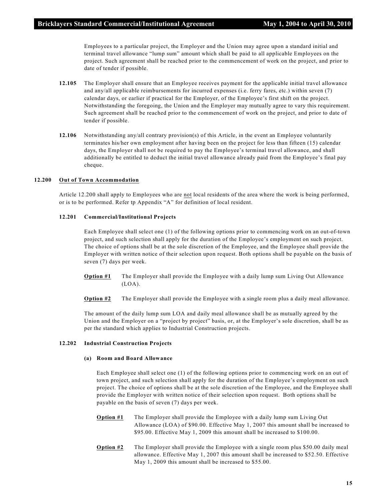Employees to a particular project, the Employer and the Union may agree upon a standard initial and terminal travel allowance "lump sum" amount which shall be paid to all applicable Employees on the project. Such agreement shall be reached prior to the commencement of work on the project, and prior to date of tender if possible.

- **12.105** The Employer shall ensure that an Employee receives payment for the applicable initial travel allowance and any/all applicable reimbursements for incurred expenses (i.e. ferry fares, etc.) within seven (7) calendar days, or earlier if practical for the Employer, of the Employee's first shift on the project. Notwithstanding the foregoing, the Union and the Employer may mutually agree to vary this requirement. Such agreement shall be reached prior to the commencement of work on the project, and prior to date of tender if possible.
- **12.106** Notwithstanding any/all contrary provision(s) of this Article, in the event an Employee voluntarily terminates his/her own employment after having been on the project for less than fifteen (15) calendar days, the Employer shall not be required to pay the Employee's terminal travel allowance, and shall additionally be entitled to deduct the initial travel allowance already paid from the Employee's final pay cheque.

#### **12.200 Out of Town Accommodation**

Article 12.200 shall apply to Employees who are not local residents of the area where the work is being performed, or is to be performed. Refer tp Appendix "A" for definition of local resident.

#### **12.201 Commercial/Institutional Projects**

Each Employee shall select one (1) of the following options prior to commencing work on an out-of-town project, and such selection shall apply for the duration of the Employee's employment on such project. The choice of options shall be at the sole discretion of the Employee, and the Employee shall provide the Employer with written notice of their selection upon request. Both options shall be payable on the basis of seven (7) days per week.

- **Option #1** The Employer shall provide the Employee with a daily lump sum Living Out Allowance  $(LOA)$ .
- **Option #2** The Employer shall provide the Employee with a single room plus a daily meal allowance.

The amount of the daily lump sum LOA and daily meal allowance shall be as mutually agreed by the Union and the Employer on a "project by project" basis, or, at the Employer's sole discretion, shall be as per the standard which applies to Industrial Construction projects.

#### **12.202 Industrial Construction Projects**

#### **(a) Room and Board Allowance**

Each Employee shall select one (1) of the following options prior to commencing work on an out of town project, and such selection shall apply for the duration of the Employee's employment on such project. The choice of options shall be at the sole discretion of the Employee, and the Employee shall provide the Employer with written notice of their selection upon request. Both options shall be payable on the basis of seven (7) days per week.

- **Option #1** The Employer shall provide the Employee with a daily lump sum Living Out Allowance (LOA) of \$90.00. Effective May 1, 2007 this amount shall be increased to \$95.00. Effective May 1, 2009 this amount shall be increased to \$100.00.
- **Option #2** The Employer shall provide the Employee with a single room plus \$50.00 daily meal allowance. Effective May 1, 2007 this amount shall be increased to \$52.50. Effective May 1, 2009 this amount shall be increased to \$55.00.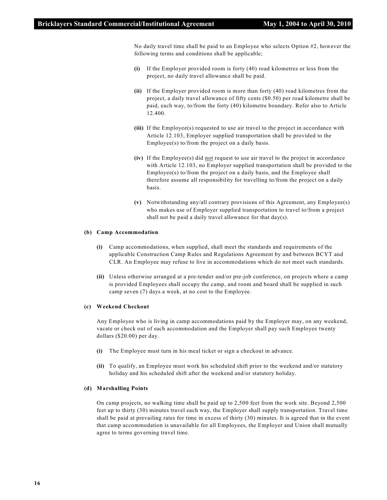No daily travel time shall be paid to an Employee who selects Option #2, however the following terms and conditions shall be applicable;

- **(i)** If the Employer provided room is forty (40) road kilometres or less from the project, no daily travel allowance shall be paid.
- **(ii)** If the Employer provided room is more than forty (40) road kilometres from the project, a daily travel allowance of fifty cents (\$0.50) per road kilometre shall be paid, each way, to/from the forty (40) kilometre boundary. Refer also to Article 12.400.
- **(iii)** If the Employee(s) requested to use air travel to the project in accordance with Article 12.103, Employer supplied transportation shall be provided to the Employee(s) to/from the project on a daily basis.
- **(iv)** If the Employee(s) did not request to use air travel to the project in accordance with Article 12.103, no Employer supplied transportation shall be provided to the Employee(s) to/from the project on a daily basis, and the Employee shall therefore assume all responsibility for travelling to/from the project on a daily basis.
- **(v)** Notwithstanding any/all contrary provisions of this Agreement, any Employee(s) who makes use of Employer supplied transportation to travel to/from a project shall not be paid a daily travel allowance for that day(s).

#### **(b) Camp Accommodation**

- **(i)** Camp accommodations, when supplied, shall meet the standards and requirements of the applicable Construction Camp Rules and Regulations Agreement by and between BCYT and CLR. An Employee may refuse to live in accommodations which do not meet such standards.
- **(ii)** Unless otherwise arranged at a pre-tender and/or pre-job conference, on projects where a camp is provided Employees shall occupy the camp, and room and board shall be supplied in such camp seven (7) days a week, at no cost to the Employee.

#### **(c) Weekend Checkout**

Any Employee who is living in camp accommodations paid by the Employer may, on any weekend, vacate or check out of such accommodation and the Employer shall pay such Employee twenty dollars (\$20.00) per day.

- **(i)** The Employee must turn in his meal ticket or sign a checkout in advance.
- **(ii)** To qualify, an Employee must work his scheduled shift prior to the weekend and/or statutory holiday and his scheduled shift after the weekend and/or statutory holiday.

#### **(d) Marshalling Points**

On camp projects, no walking time shall be paid up to 2,500 feet from the work site. Beyond 2,500 feet up to thirty (30) minutes travel each way, the Employer shall supply transportation. Travel time shall be paid at prevailing rates for time in excess of thirty (30) minutes. It is agreed that in the event that camp accommodation is unavailable for all Employees, the Employer and Union shall mutually agree to terms governing travel time.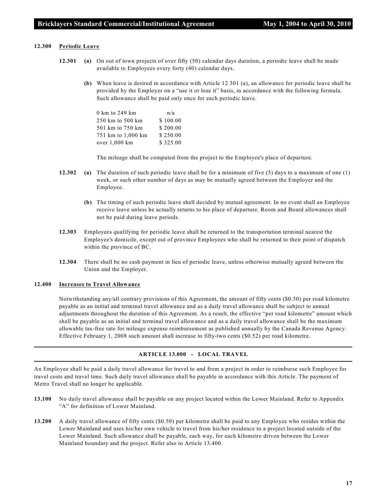#### **12.300 Periodic Leave**

- **12.301 (a)** On out of town projects of over fifty (50) calendar days duration, a periodic leave shall be made available to Employees every forty (40) calendar days.
	- **(b)** When leave is desired in accordance with Article 12.301 (a), an allowance for periodic leave shall be provided by the Employer on a "use it or lose it" basis, in accordance with the following formula. Such allowance shall be paid only once for each periodic leave.

| 0 km to 249 km     | n/a      |  |  |  |  |  |
|--------------------|----------|--|--|--|--|--|
| 250 km to 500 km   | \$100.00 |  |  |  |  |  |
| 501 km to 750 km   | \$200.00 |  |  |  |  |  |
| 751 km to 1,000 km | \$250.00 |  |  |  |  |  |
| over 1,000 km      | \$325.00 |  |  |  |  |  |

The mileage shall be computed from the project to the Employee's place of departure.

- **12.302 (a)** The duration of such periodic leave shall be for a minimum of five (5) days to a maximum of one (1) week, or such other number of days as may be mutually agreed between the Employer and the Employee.
	- **(b)** The timing of such periodic leave shall decided by mutual agreement. In no event shall an Employee receive leave unless he actually returns to his place of departure. Room and Board allowances shall not be paid during leave periods.
- **12.303** Employees qualifying for periodic leave shall be returned to the transportation terminal nearest the Employee's domicile, except out of province Employees who shall be returned to their point of dispatch within the province of BC.
- **12.304** There shall be no cash payment in lieu of periodic leave, unless otherwise mutually agreed between the Union and the Employer.

#### **12.400 Increases to Travel Allowance**

Notwithstanding any/all contrary provisions of this Agreement, the amount of fifty cents (\$0.50) per road kilometre payable as an initial and terminal travel allowance and as a daily travel allowance shall be subject to annual adjustments throughout the duration of this Agreement. As a result, the effective "per road kilometre" amount which shall be payable as an initial and terminal travel allowance and as a daily travel allowance shall be the maximum allowable tax-free rate for mileage expense reimbursement as published annually by the Canada Revenue Agency. Effective February 1, 2008 such amount shall increase to fifty-two cents (\$0.52) per road kilometre.

#### **ARTICLE 13.000 - LOCAL TRAVEL**

An Employee shall be paid a daily travel allowance for travel to and from a project in order to reimburse such Employee for travel costs and travel time. Such daily travel allowance shall be payable in accordance with this Article. The payment of Metro Travel shall no longer be applicable.

- **13.100** No daily travel allowance shall be payable on any project located within the Lower Mainland. Refer to Appendix "A" for definition of Lower Mainland.
- **13.200** A daily travel allowance of fifty cents (\$0.50) per kilometre shall be paid to any Employee who resides within the Lower Mainland and uses his/her own vehicle to travel from his/her residence to a project located outside of the Lower Mainland. Such allowance shall be payable, each way, for each kilometre driven between the Lower Mainland boundary and the project. Refer also to Article 13.400.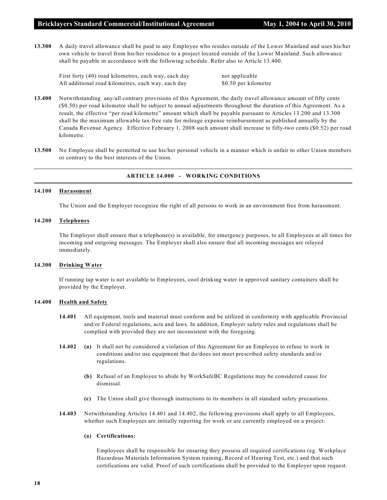**13.300** A daily travel allowance shall be paid to any Employee who resides outside of the Lower Mainland and uses his/her own vehicle to travel from his/her residence to a project located outside of the Lower Mainland. Such allowance shall be payable in accordance with the following schedule. Refer also to Article 13.400.

First forty (40) road kilometres, each way, each day not applicable All additional road kilometres, each way, each day \$0.50 per kilometre

- **13.400** Notwithstanding any/all contrary provisions of this Agreement, the daily travel allowance amount of fifty cents (\$0.50) per road kilometre shall be subject to annual adjustments throughout the duration of this Agreement. As a result, the effective "per road kilometre" amount which shall be payable pursuant to Articles 13.200 and 13.300 shall be the maximum allowable tax-free rate for mileage expense reimbursement as published annually by the Canada Revenue Agency. Effective February 1, 2008 such amount shall increase to fifty-two cents (\$0.52) per road kilometre.
- **13.500** No Employee shall be permitted to use his/her personal vehicle in a manner which is unfair to other Union members or contrary to the best interests of the Union.

#### **ARTICLE 14.000 - WORKING CONDITIONS**

#### **14.100 Harassment**

The Union and the Employer recognize the right of all persons to work in an environment free from harassment.

#### **14.200 Telephones**

The Employer shall ensure that a telephone(s) is available, for emergency purposes, to all Employees at all times for incoming and outgoing messages. The Employer shall also ensure that all incoming messages are relayed immediately.

#### **14.300 Drinking Water**

If running tap water is not available to Employees, cool drinking water in approved sanitary containers shall be provided by the Employer.

#### **14.400 Health and Safety**

- **14.401** All equipment, tools and material must conform and be utilized in conformity with applicable Provincial and/or Federal regulations, acts and laws. In addition, Employer safety rules and regulations shall be complied with provided they are not inconsistent with the foregoing.
- **14.402 (a)** It shall not be considered a violation of this Agreement for an Employee to refuse to work in conditions and/or use equipment that do/does not meet prescribed safety standards and/or regulations.
	- **(b)** Refusal of an Employee to abide by WorkSafeBC Regulations may be considered cause for dismissal.
	- **(c)** The Union shall give thorough instructions to its members in all standard safety precautions.
- **14.403** Notwithstanding Articles 14.401 and 14.402, the following provisions shall apply to all Employees, whether such Employees are initially reporting for work or are currently employed on a project:

#### **(a) Certifications:**

Employees shall be responsible for ensuring they possess all required certifications (eg. Workplace Hazardous Materials Information System training, Record of Hearing Test, etc.) and that such certifications are valid. Proof of such certifications shall be provided to the Employer upon request.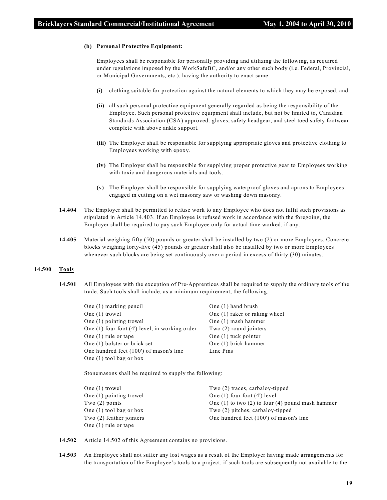#### **(b) Personal Protective Equipment:**

Employees shall be responsible for personally providing and utilizing the following, as required under regulations imposed by the WorkSafeBC, and/or any other such body (i.e. Federal, Provincial, or Municipal Governments, etc.), having the authority to enact same:

- **(i)** clothing suitable for protection against the natural elements to which they may be exposed, and
- **(ii)** all such personal protective equipment generally regarded as being the responsibility of the Employee. Such personal protective equipment shall include, but not be limited to, Canadian Standards Association (CSA) approved: gloves, safety headgear, and steel toed safety footwear complete with above ankle support.
- **(iii)** The Employer shall be responsible for supplying appropriate gloves and protective clothing to Employees working with epoxy.
- **(iv)** The Employer shall be responsible for supplying proper protective gear to Employees working with toxic and dangerous materials and tools.
- **(v)** The Employer shall be responsible for supplying waterproof gloves and aprons to Employees engaged in cutting on a wet masonry saw or washing down masonry.
- **14.404** The Employer shall be permitted to refuse work to any Employee who does not fulfil such provisions as stipulated in Article 14.403. If an Employee is refused work in accordance with the foregoing, the Employer shall be required to pay such Employee only for actual time worked, if any.
- **14.405** Material weighing fifty (50) pounds or greater shall be installed by two (2) or more Employees. Concrete blocks weighing forty-five (45) pounds or greater shall also be installed by two or more Employees whenever such blocks are being set continuously over a period in excess of thirty (30) minutes.

#### **14.500 Tools**

**14.501** All Employees with the exception of Pre-Apprentices shall be required to supply the ordinary tools of the trade. Such tools shall include, as a minimum requirement, the following:

| One $(1)$ marking pencil                           | One $(1)$ hand brush          |
|----------------------------------------------------|-------------------------------|
| One $(1)$ trowel                                   | One (1) raker or raking wheel |
| One $(1)$ pointing trowel                          | One (1) mash hammer           |
| One $(1)$ four foot $(4')$ level, in working order | Two $(2)$ round jointers      |
| One $(1)$ rule or tape                             | One $(1)$ tuck pointer        |
| One (1) bolster or brick set                       | One (1) brick hammer          |
| One hundred feet (100') of mason's line            | Line Pins                     |
| One $(1)$ tool bag or box                          |                               |
|                                                    |                               |

Stonemasons shall be required to supply the following:

| One $(1)$ trowel           | Two $(2)$ traces, carbaloy-tipped                      |
|----------------------------|--------------------------------------------------------|
| One $(1)$ pointing trowel  | One $(1)$ four foot $(4')$ level                       |
| Two $(2)$ points           | One $(1)$ to two $(2)$ to four $(4)$ pound mash hammer |
| One $(1)$ tool bag or box  | Two $(2)$ pitches, carbaloy-tipped                     |
| Two $(2)$ feather jointers | One hundred feet (100') of mason's line                |
| One $(1)$ rule or tape     |                                                        |

**14.502** Article 14.502 of this Agreement contains no provisions.

**14.503** An Employee shall not suffer any lost wages as a result of the Employer having made arrangements for the transportation of the Employee's tools to a project, if such tools are subsequently not available to the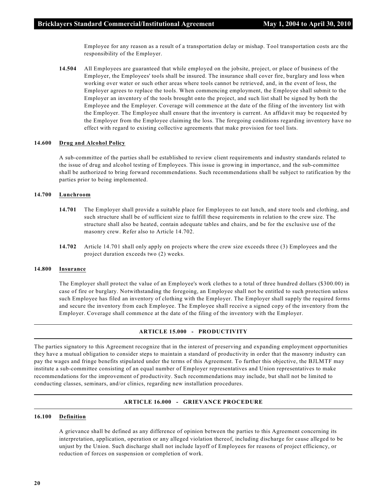Employee for any reason as a result of a transportation delay or mishap. Tool transportation costs are the responsibility of the Employer.

**14.504** All Employees are guaranteed that while employed on the jobsite, project, or place of business of the Employer, the Employees' tools shall be insured. The insurance shall cover fire, burglary and loss when working over water or such other areas where tools cannot be retrieved, and, in the event of loss, the Employer agrees to replace the tools. When commencing employment, the Employee shall submit to the Employer an inventory of the tools brought onto the project, and such list shall be signed by both the Employee and the Employer. Coverage will commence at the date of the filing of the inventory list with the Employer. The Employee shall ensure that the inventory is current. An affidavit may be requested by the Employer from the Employee claiming the loss. The foregoing conditions regarding inventory have no effect with regard to existing collective agreements that make provision for tool lists.

#### **14.600 Drug and Alcohol Policy**

A sub-committee of the parties shall be established to review client requirements and industry standards related to the issue of drug and alcohol testing of Employees. This issue is growing in importance, and the sub-committee shall be authorized to bring forward recommendations. Such recommendations shall be subject to ratification by the parties prior to being implemented.

#### **14.700 Lunchroom**

- **14.701** The Employer shall provide a suitable place for Employees to eat lunch, and store tools and clothing, and such structure shall be of sufficient size to fulfill these requirements in relation to the crew size. The structure shall also be heated, contain adequate tables and chairs, and be for the exclusive use of the masonry crew. Refer also to Article 14.702.
- **14.702** Article 14.701 shall only apply on projects where the crew size exceeds three (3) Employees and the project duration exceeds two (2) weeks.

#### **14.800 Insurance**

The Employer shall protect the value of an Employee's work clothes to a total of three hundred dollars (\$300.00) in case of fire or burglary. Notwithstanding the foregoing, an Employee shall not be entitled to such protection unless such Employee has filed an inventory of clothing with the Employer. The Employer shall supply the required forms and secure the inventory from each Employee. The Employee shall receive a signed copy of the inventory from the Employer. Coverage shall commence at the date of the filing of the inventory with the Employer.

#### **ARTICLE 15.000 - PRODUCTIVITY**

The parties signatory to this Agreement recognize that in the interest of preserving and expanding employment opportunities they have a mutual obligation to consider steps to maintain a standard of productivity in order that the masonry industry can pay the wages and fringe benefits stipulated under the terms of this Agreement. To further this objective, the BJLMTF may institute a sub-committee consisting of an equal number of Employer representatives and Union representatives to make recommendations for the improvement of productivity. Such recommendations may include, but shall not be limited to conducting classes, seminars, and/or clinics, regarding new installation procedures.

#### **ARTICLE 16.000 - GRIEVANCE PROCEDURE**

#### **16.100 Definition**

A grievance shall be defined as any difference of opinion between the parties to this Agreement concerning its interpretation, application, operation or any alleged violation thereof, including discharge for cause alleged to be unjust by the Union. Such discharge shall not include layoff of Employees for reasons of project efficiency, or reduction of forces on suspension or completion of work.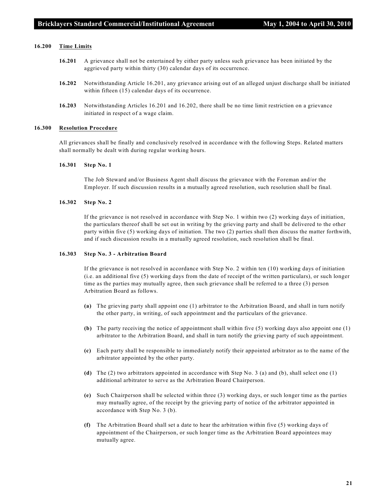#### **16.200 Time Limits**

- **16.201** A grievance shall not be entertained by either party unless such grievance has been initiated by the aggrieved party within thirty (30) calendar days of its occurrence.
- **16.202** Notwithstanding Article 16.201, any grievance arising out of an alleged unjust discharge shall be initiated within fifteen (15) calendar days of its occurrence.
- **16.203** Notwithstanding Articles 16.201 and 16.202, there shall be no time limit restriction on a grievance initiated in respect of a wage claim.

#### **16.300 Resolution Procedure**

All grievances shall be finally and conclusively resolved in accordance with the following Steps. Related matters shall normally be dealt with during regular working hours.

#### **16.301 Step No. 1**

The Job Steward and/or Business Agent shall discuss the grievance with the Foreman and/or the Employer. If such discussion results in a mutually agreed resolution, such resolution shall be final.

#### **16.302 Step No. 2**

If the grievance is not resolved in accordance with Step No. 1 within two (2) working days of initiation, the particulars thereof shall be set out in writing by the grieving party and shall be delivered to the other party within five (5) working days of initiation. The two (2) parties shall then discuss the matter forthwith, and if such discussion results in a mutually agreed resolution, such resolution shall be final.

#### **16.303 Step No. 3 - Arbitration Board**

If the grievance is not resolved in accordance with Step No. 2 within ten (10) working days of initiation (i.e. an additional five (5) working days from the date of receipt of the written particulars), or such longer time as the parties may mutually agree, then such grievance shall be referred to a three (3) person Arbitration Board as follows.

- **(a)** The grieving party shall appoint one (1) arbitrator to the Arbitration Board, and shall in turn notify the other party, in writing, of such appointment and the particulars of the grievance.
- **(b)** The party receiving the notice of appointment shall within five (5) working days also appoint one (1) arbitrator to the Arbitration Board, and shall in turn notify the grieving party of such appointment.
- **(c)** Each party shall be responsible to immediately notify their appointed arbitrator as to the name of the arbitrator appointed by the other party.
- **(d)** The (2) two arbitrators appointed in accordance with Step No. 3 (a) and (b), shall select one (1) additional arbitrator to serve as the Arbitration Board Chairperson.
- **(e)** Such Chairperson shall be selected within three (3) working days, or such longer time as the parties may mutually agree, of the receipt by the grieving party of notice of the arbitrator appointed in accordance with Step No. 3 (b).
- **(f)** The Arbitration Board shall set a date to hear the arbitration within five (5) working days of appointment of the Chairperson, or such longer time as the Arbitration Board appointees may mutually agree.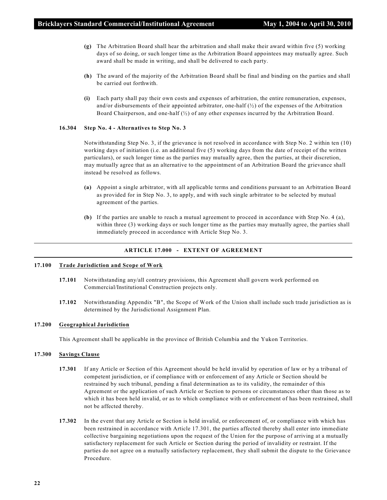- **(g)** The Arbitration Board shall hear the arbitration and shall make their award within five (5) working days of so doing, or such longer time as the Arbitration Board appointees may mutually agree. Such award shall be made in writing, and shall be delivered to each party.
- **(h)** The award of the majority of the Arbitration Board shall be final and binding on the parties and shall be carried out forthwith.
- **(i)** Each party shall pay their own costs and expenses of arbitration, the entire remuneration, expenses, and/or disbursements of their appointed arbitrator, one-half  $\langle \frac{1}{2} \rangle$  of the expenses of the Arbitration Board Chairperson, and one-half  $\langle \frac{1}{2} \rangle$  of any other expenses incurred by the Arbitration Board.

#### **16.304 Step No. 4 - Alternatives to Step No. 3**

Notwithstanding Step No. 3, if the grievance is not resolved in accordance with Step No. 2 within ten (10) working days of initiation (i.e. an additional five (5) working days from the date of receipt of the written particulars), or such longer time as the parties may mutually agree, then the parties, at their discretion, may mutually agree that as an alternative to the appointment of an Arbitration Board the grievance shall instead be resolved as follows.

- **(a)** Appoint a single arbitrator, with all applicable terms and conditions pursuant to an Arbitration Board as provided for in Step No. 3, to apply, and with such single arbitrator to be selected by mutual agreement of the parties.
- **(b)** If the parties are unable to reach a mutual agreement to proceed in accordance with Step No. 4 (a), within three (3) working days or such longer time as the parties may mutually agree, the parties shall immediately proceed in accordance with Article Step No. 3.

#### **ARTICLE 17.000 - EXTENT OF AGREEMENT**

#### **17.100 Trade Jurisdiction and Scope of Work**

- **17.101** Notwithstanding any/all contrary provisions, this Agreement shall govern work performed on Commercial/Institutional Construction projects only.
- **17.102** Notwithstanding Appendix "B", the Scope of Work of the Union shall include such trade jurisdiction as is determined by the Jurisdictional Assignment Plan.

#### **17.200 Geographical Jurisdiction**

This Agreement shall be applicable in the province of British Columbia and the Yukon Territories.

#### **17.300 Savings Clause**

- **17.301** If any Article or Section of this Agreement should be held invalid by operation of law or by a tribunal of competent jurisdiction, or if compliance with or enforcement of any Article or Section should be restrained by such tribunal, pending a final determination as to its validity, the remainder of this Agreement or the application of such Article or Section to persons or circumstances other than those as to which it has been held invalid, or as to which compliance with or enforcement of has been restrained, shall not be affected thereby.
- **17.302** In the event that any Article or Section is held invalid, or enforcement of, or compliance with which has been restrained in accordance with Article 17.301, the parties affected thereby shall enter into immediate collective bargaining negotiations upon the request of the Union for the purpose of arriving at a mutually satisfactory replacement for such Article or Section during the period of invalidity or restraint. If the parties do not agree on a mutually satisfactory replacement, they shall submit the dispute to the Grievance Procedure.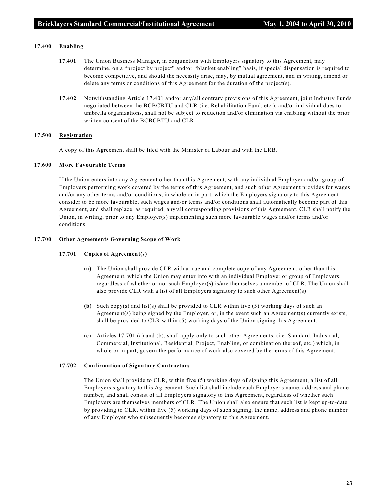#### **17.400 Enabling**

- **17.401** The Union Business Manager, in conjunction with Employers signatory to this Agreement, may determine, on a "project by project" and/or "blanket enabling" basis, if special dispensation is required to become competitive, and should the necessity arise, may, by mutual agreement, and in writing, amend or delete any terms or conditions of this Agreement for the duration of the project(s).
- **17.402** Notwithstanding Article 17.401 and/or any/all contrary provisions of this Agreement, joint Industry Funds negotiated between the BCBCBTU and CLR (i.e. Rehabilitation Fund, etc.), and/or individual dues to umbrella organizations, shall not be subject to reduction and/or elimination via enabling without the prior written consent of the BCBCBTU and CLR.

#### **17.500 Registration**

A copy of this Agreement shall be filed with the Minister of Labour and with the LRB.

#### **17.600 More Favourable Terms**

If the Union enters into any Agreement other than this Agreement, with any individual Employer and/or group of Employers performing work covered by the terms of this Agreement, and such other Agreement provides for wages and/or any other terms and/or conditions, in whole or in part, which the Employers signatory to this Agreement consider to be more favourable, such wages and/or terms and/or conditions shall automatically become part of this Agreement, and shall replace, as required, any/all corresponding provisions of this Agreement. CLR shall notify the Union, in writing, prior to any Employer(s) implementing such more favourable wages and/or terms and/or conditions.

#### **17.700 Other Agreements Governing Scope of Work**

#### **17.701 Copies of Agreement(s)**

- **(a)** The Union shall provide CLR with a true and complete copy of any Agreement, other than this Agreement, which the Union may enter into with an individual Employer or group of Employers, regardless of whether or not such Employer(s) is/are themselves a member of CLR. The Union shall also provide CLR with a list of all Employers signatory to such other Agreement(s).
- **(b)** Such copy(s) and list(s) shall be provided to CLR within five (5) working days of such an Agreement(s) being signed by the Employer, or, in the event such an Agreement(s) currently exists, shall be provided to CLR within (5) working days of the Union signing this Agreement.
- **(c)** Articles 17.701 (a) and (b), shall apply only to such other Agreements, (i.e. Standard, Industrial, Commercial, Institutional, Residential, Project, Enabling, or combination thereof, etc.) which, in whole or in part, govern the performance of work also covered by the terms of this Agreement.

#### **17.702 Confirmation of Signatory Contractors**

The Union shall provide to CLR, within five (5) working days of signing this Agreement, a list of all Employers signatory to this Agreement. Such list shall include each Employer's name, address and phone number, and shall consist of all Employers signatory to this Agreement, regardless of whether such Employers are themselves members of CLR. The Union shall also ensure that such list is kept up-to-date by providing to CLR, within five (5) working days of such signing, the name, address and phone number of any Employer who subsequently becomes signatory to this Agreement.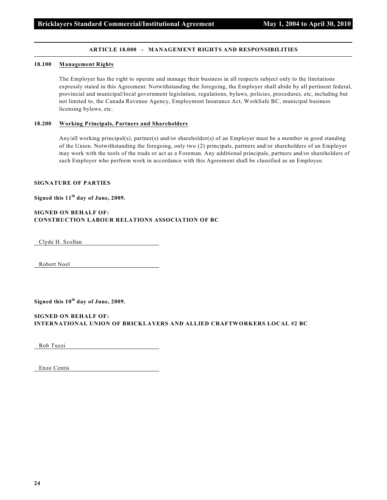#### **ARTICLE 18.000 - MANAGEMENT RIGHTS AND RESPONSIBILITIES**

#### **18.100 Management Rights**

The Employer has the right to operate and manage their business in all respects subject only to the limitations expressly stated in this Agreement. Notwithstanding the foregoing, the Employer shall abide by all pertinent federal, provincial and municipal/local government legislation, regulations, bylaws, policies, procedures, etc, including but not limited to, the Canada Revenue Agency, Employment Insurance Act, WorkSafe BC, municipal business licensing bylaws, etc.

#### **18.200 Working Principals, Partners and Shareholders**

Any/all working principal(s), partner(s) and/or shareholder(s) of an Employer must be a member in good standing of the Union. Notwithstanding the foregoing, only two (2) principals, partners and/or shareholders of an Employer may work with the tools of the trade or act as a Foreman. Any additional principals, partners and/or shareholders of such Employer who perform work in accordance with this Agreement shall be classified as an Employee.

#### **SIGNATURE OF PARTIES**

#### Signed this 11<sup>th</sup> day of June, 2009.

#### **SIGNED ON BEHALF OF: CONSTRUCTION LABOUR RELATIONS ASSOCIATION OF BC**

Clyde H. Scollan

Robert Noel

#### Signed this  $10^{th}$  day of June, 2009.

#### **SIGNED ON BEHALF OF: INTERNATIONAL UNION OF BRICKLAYERS AND ALLIED CRAFTWORKERS LOCAL #2 BC**

Rob Tuzzi

Enzo Centis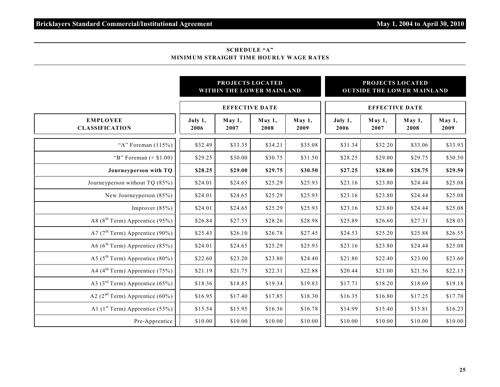#### **SCHEDULE "A" MINIMUM STRAIGHT TIME HOURLY WAGE RATES**

|                                             |                 | PROJECTS LOCATED<br>WITHIN THE LOWER MAINLAND |                |                | PROJECTS LOCATED<br><b>OUTSIDE THE LOWER MAINLAND</b> |                       |                |                |  |  |
|---------------------------------------------|-----------------|-----------------------------------------------|----------------|----------------|-------------------------------------------------------|-----------------------|----------------|----------------|--|--|
|                                             |                 | <b>EFFECTIVE DATE</b>                         |                |                |                                                       | <b>EFFECTIVE DATE</b> |                |                |  |  |
| <b>EMPLOYEE</b><br><b>CLASSIFICATION</b>    | July 1,<br>2006 | May 1,<br>2007                                | May 1,<br>2008 | May 1,<br>2009 | July 1,<br>2006                                       | May 1,<br>2007        | May 1,<br>2008 | May 1,<br>2009 |  |  |
| "A" Foreman $(115%)$                        | \$32.49         | \$33.35                                       | \$34.21        | \$35.08        | \$31.34                                               | \$32.20               | \$33.06        | \$33.93        |  |  |
| "B" Foreman $(+ $1.00)$                     | \$29.25         | \$30.00                                       | \$30.75        | \$31.50        | \$28.25                                               | \$29.00               | \$29.75        | \$30.50        |  |  |
| Journeyperson with TQ                       | \$28.25         | \$29.00                                       | \$29.75        | \$30.50        | \$27.25                                               | \$28.00               | \$28.75        | \$29.50        |  |  |
| Journeyperson without TQ (85%)              | \$24.01         | \$24.65                                       | \$25.29        | \$25.93        | \$23.16                                               | \$23.80               | \$24.44        | \$25.08        |  |  |
| New Journeyperson (85%)                     | \$24.01         | \$24.65                                       | \$25.29        | \$25.93        | \$23.16                                               | \$23.80               | \$24.44        | \$25.08        |  |  |
| Improver $(85%)$                            | \$24.01         | \$24.65                                       | \$25.29        | \$25.93        | \$23.16                                               | \$23.80               | \$24.44        | \$25.08        |  |  |
| A8 ( $8th$ Term) Apprentice (95%)           | \$26.84         | \$27.55                                       | \$28.26        | \$28.98        | \$25.89                                               | \$26.60               | \$27.31        | \$28.03        |  |  |
| A7 ( $7th$ Term) Apprentice (90%)           | \$25.43         | \$26.10                                       | \$26.78        | \$27.45        | \$24.53                                               | \$25.20               | \$25.88        | \$26.55        |  |  |
| A6 ( $6^{\text{th}}$ Term) Apprentice (85%) | \$24.01         | \$24.65                                       | \$25.29        | \$25.93        | \$23.16                                               | \$23.80               | \$24.44        | \$25.08        |  |  |
| A5 ( $5^{\text{th}}$ Term) Apprentice (80%) | \$22.60         | \$23.20                                       | \$23.80        | \$24.40        | \$21.80                                               | \$22.40               | \$23.00        | \$23.60        |  |  |
| A4 ( $4^{\text{th}}$ Term) Apprentice (75%) | \$21.19         | \$21.75                                       | \$22.31        | \$22.88        | \$20.44                                               | \$21.00               | \$21.56        | \$22.13        |  |  |
| A3 ( $3^{\text{rd}}$ Term) Apprentice (65%) | \$18.36         | \$18.85                                       | \$19.34        | \$19.83        | \$17.71                                               | \$18.20               | \$18.69        | \$19.18        |  |  |
| A2 ( $2nd$ Term) Apprentice (60%)           | \$16.95         | \$17.40                                       | \$17.85        | \$18.30        | \$16.35                                               | \$16.80               | \$17.25        | \$17.70        |  |  |
| A1 $(1st Term)$ Apprentice (55%)            | \$15.54         | \$15.95                                       | \$16.36        | \$16.78        | \$14.99                                               | \$15.40               | \$15.81        | \$16.23        |  |  |
| Pre-Apprentice                              | \$10.00         | \$10.00                                       | \$10.00        | \$10.00        | \$10.00                                               | \$10.00               | \$10.00        | \$10.00        |  |  |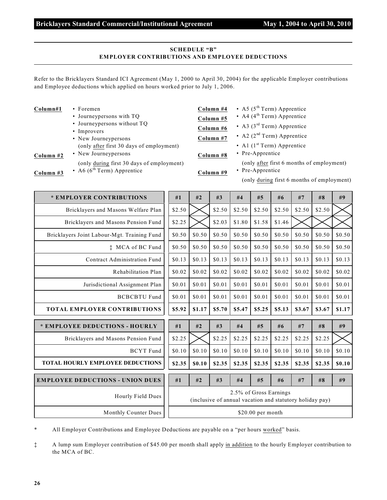### **Bricklayers Standard Commercial/Institutional Agreement May 1, 2004 to April 30, 2010**

months of employment)

#### **SCHEDULE "B" EMPLOYER CONTRIBUTIONS AND EMPLOYEE DEDUCTIONS**

Refer to the Bricklayers Standard ICI Agreement (May 1, 2000 to April 30, 2004) for the applicable Employer contributions and Employee deductions which applied on hours worked prior to July 1, 2006.

| Column#1  | $\cdot$ Foremen                                                  | Column #4 | • A5 $(5^{\text{th}}$ Term) Apprentice    |
|-----------|------------------------------------------------------------------|-----------|-------------------------------------------|
|           | • Journeypersons with TQ                                         | Column #5 | • A4 $(4^{\text{th}}$ Term) Apprentice    |
|           | • Journeypersons without TQ                                      | Column #6 | • A3 $(3rd Term)$ Apprentice              |
|           | • Improvers                                                      |           | • A2 $(2nd Term)$ Apprentice              |
|           | • New Journeypersons<br>(only after first 30 days of employment) | Column #7 | • Al $(1st Term)$ Apprentice              |
| Column #2 | • New Journey persons                                            | Column #8 | • Pre-Apprentice                          |
|           | (only during first 30 days of employment)                        |           | (only after first 6 months of employment) |
| Column #3 | • A6 $(6^{th}$ Term) Apprentice                                  | Column #9 | • Pre-Apprentice                          |
|           |                                                                  |           | (only during first 6 months of employmen  |

| * EMPLOYER CONTRIBUTIONS                    | #1                                                                                 | #2     | #3     | #4     | #5     | #6     | #7     | #8     | #9     |
|---------------------------------------------|------------------------------------------------------------------------------------|--------|--------|--------|--------|--------|--------|--------|--------|
| Bricklayers and Masons Welfare Plan         | \$2.50                                                                             |        | \$2.50 | \$2.50 | \$2.50 | \$2.50 | \$2.50 | \$2.50 |        |
| Bricklayers and Masons Pension Fund         | \$2.25                                                                             |        | \$2.03 | \$1.80 | \$1.58 | \$1.46 |        |        |        |
| Bricklayers Joint Labour-Mgt. Training Fund | \$0.50                                                                             | \$0.50 | \$0.50 | \$0.50 | \$0.50 | \$0.50 | \$0.50 | \$0.50 | \$0.50 |
| <b>t</b> MCA of BC Fund                     | \$0.50                                                                             | \$0.50 | \$0.50 | \$0.50 | \$0.50 | \$0.50 | \$0.50 | \$0.50 | \$0.50 |
| Contract Administration Fund                | \$0.13                                                                             | \$0.13 | \$0.13 | \$0.13 | \$0.13 | \$0.13 | \$0.13 | \$0.13 | \$0.13 |
| Rehabilitation Plan                         | \$0.02                                                                             | \$0.02 | \$0.02 | \$0.02 | \$0.02 | \$0.02 | \$0.02 | \$0.02 | \$0.02 |
| Jurisdictional Assignment Plan              | \$0.01                                                                             | \$0.01 | \$0.01 | \$0.01 | \$0.01 | \$0.01 | \$0.01 | \$0.01 | \$0.01 |
| <b>BCBCBTU Fund</b>                         | \$0.01                                                                             | \$0.01 | \$0.01 | \$0.01 | \$0.01 | \$0.01 | \$0.01 | \$0.01 | \$0.01 |
| <b>TOTAL EMPLOYER CONTRIBUTIONS</b>         | \$5.92                                                                             | \$1.17 | \$5.70 | \$5.47 | \$5.25 | \$5.13 | \$3.67 | \$3.67 | \$1.17 |
| * EMPLOYEE DEDUCTIONS - HOURLY              | #1                                                                                 | #2     | #3     | #4     | #5     | #6     | #7     | #8     | #9     |
| Bricklayers and Masons Pension Fund         | \$2.25                                                                             |        | \$2.25 | \$2.25 | \$2.25 | \$2.25 | \$2.25 | \$2.25 |        |
| <b>BCYT</b> Fund                            | \$0.10                                                                             | \$0.10 | \$0.10 | \$0.10 | \$0.10 | \$0.10 | \$0.10 | \$0.10 | \$0.10 |
| <b>TOTAL HOURLY EMPLOYEE DEDUCTIONS</b>     | \$2.35                                                                             | \$0.10 | \$2.35 | \$2.35 | \$2.35 | \$2.35 | \$2.35 | \$2.35 | \$0.10 |
| <b>EMPLOYEE DEDUCTIONS - UNION DUES</b>     | #1                                                                                 | #2     | #3     | #4     | #5     | #6     | #7     | #8     | #9     |
| Hourly Field Dues                           | 2.5% of Gross Earnings<br>(inclusive of annual vacation and statutory holiday pay) |        |        |        |        |        |        |        |        |
| Monthly Counter Dues                        | $$20.00$ per month                                                                 |        |        |        |        |        |        |        |        |

All Employer Contributions and Employee Deductions are payable on a "per hours worked" basis.

‡ A lump sum Employer contribution of \$45.00 per month shall apply in addition to the hourly Employer contribution to the MCA of BC.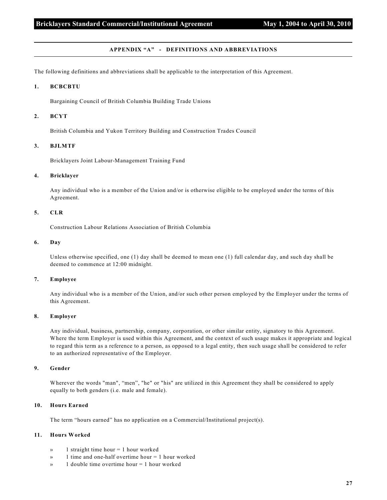#### **APPENDIX "A" - DEFINITIONS AND ABBREVIATIONS**

The following definitions and abbreviations shall be applicable to the interpretation of this Agreement.

#### **1. BCBCBTU**

Bargaining Council of British Columbia Building Trade Unions

#### **2. BCYT**

British Columbia and Yukon Territory Building and Construction Trades Council

#### **3. BJLMTF**

Bricklayers Joint Labour-Management Training Fund

#### **4. Bricklayer**

Any individual who is a member of the Union and/or is otherwise eligible to be employed under the terms of this Agreement.

#### **5. CLR**

Construction Labour Relations Association of British Columbia

#### **6. Day**

Unless otherwise specified, one (1) day shall be deemed to mean one (1) full calendar day, and such day shall be deemed to commence at 12:00 midnight.

#### **7. Employee**

Any individual who is a member of the Union, and/or such other person employed by the Employer under the terms of this Agreement.

#### **8. Employer**

Any individual, business, partnership, company, corporation, or other similar entity, signatory to this Agreement. Where the term Employer is used within this Agreement, and the context of such usage makes it appropriate and logical to regard this term as a reference to a person, as opposed to a legal entity, then such usage shall be considered to refer to an authorized representative of the Employer.

#### **9. Gender**

Wherever the words "man", "men", "he" or "his" are utilized in this Agreement they shall be considered to apply equally to both genders (i.e. male and female).

#### **10. Hours Earned**

The term "hours earned" has no application on a Commercial/Institutional project(s).

#### **11. Hours Worked**

- $\infty$  1 straight time hour = 1 hour worked
- » 1 time and one-half overtime hour = 1 hour worked
- » 1 double time overtime hour = 1 hour worked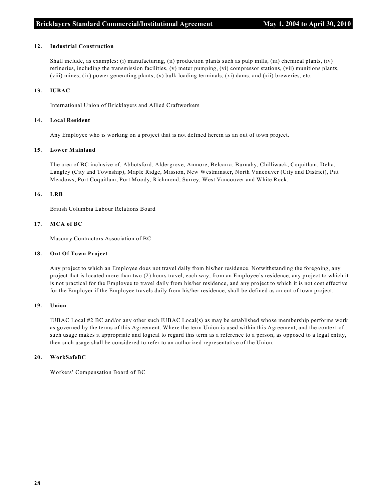#### **12. Industrial Construction**

Shall include, as examples: (i) manufacturing, (ii) production plants such as pulp mills, (iii) chemical plants, (iv) refineries, including the transmission facilities, (v) meter pumping, (vi) compressor stations, (vii) munitions plants, (viii) mines, (ix) power generating plants, (x) bulk loading terminals, (xi) dams, and (xii) breweries, etc.

#### **13. IUBAC**

International Union of Bricklayers and Allied Craftworkers

#### **14. Local Resident**

Any Employee who is working on a project that is not defined herein as an out of town project.

#### **15. Lower Mainland**

The area of BC inclusive of: Abbotsford, Aldergrove, Anmore, Belcarra, Burnaby, Chilliwack, Coquitlam, Delta, Langley (City and Township), Maple Ridge, Mission, New Westminster, North Vancouver (City and District), Pitt Meadows, Port Coquitlam, Port Moody, Richmond, Surrey, West Vancouver and White Rock.

#### **16. LRB**

British Columbia Labour Relations Board

#### **17. MCA of BC**

Masonry Contractors Association of BC

#### **18. Out Of Town Project**

Any project to which an Employee does not travel daily from his/her residence. Notwithstanding the foregoing, any project that is located more than two (2) hours travel, each way, from an Employee's residence, any project to which it is not practical for the Employee to travel daily from his/her residence, and any project to which it is not cost effective for the Employer if the Employee travels daily from his/her residence, shall be defined as an out of town project.

#### **19. Union**

IUBAC Local #2 BC and/or any other such IUBAC Local(s) as may be established whose membership performs work as governed by the terms of this Agreement. Where the term Union is used within this Agreement, and the context of such usage makes it appropriate and logical to regard this term as a reference to a person, as opposed to a legal entity, then such usage shall be considered to refer to an authorized representative of the Union.

#### **20. WorkSafeBC**

Workers' Compensation Board of BC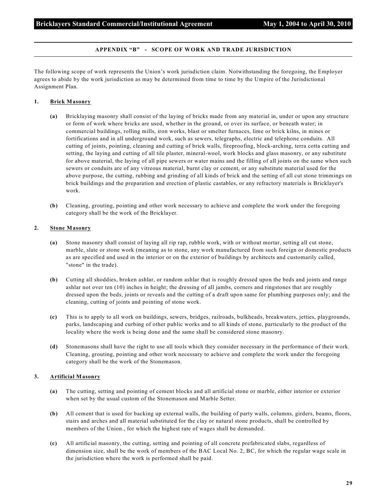#### **APPENDIX "B" - SCOPE OF WORK AND TRADE JURISDICTION**

The following scope of work represents the Union's work jurisdiction claim. Notwithstanding the foregoing, the Employer agrees to abide by the work jurisdiction as may be determined from time to time by the Umpire of the Jurisdictional Assignment Plan.

#### **1. Brick Masonry**

- **(a)** Bricklaying masonry shall consist of the laying of bricks made from any material in, under or upon any structure or form of work where bricks are used, whether in the ground, or over its surface, or beneath water; in commercial buildings, rolling mills, iron works, blast or smelter furnaces, lime or brick kilns, in mines or fortifications and in all underground work, such as sewers, telegraphs, electric and telephone conduits. All cutting of joints, pointing, cleaning and cutting of brick walls, fireproofing, block-arching, terra cotta cutting and setting, the laying and cutting of all tile plaster, mineral-wool, work blocks and glass masonry, or any substitute for above material, the laying of all pipe sewers or water mains and the filling of all joints on the same when such sewers or conduits are of any vitreous material, burnt clay or cement, or any substitute material used for the above purpose, the cutting, rubbing and grinding of all kinds of brick and the setting of all cut stone trimmings on brick buildings and the preparation and erection of plastic castables, or any refractory materials is Bricklayer's work.
- **(b)** Cleaning, grouting, pointing and other work necessary to achieve and complete the work under the foregoing category shall be the work of the Bricklayer.

#### **2. Stone Masonry**

- **(a)** Stone masonry shall consist of laying all rip rap, rubble work, with or without mortar, setting all cut stone, marble, slate or stone work (meaning as to stone, any work manufactured from such foreign or domestic products as are specified and used in the interior or on the exterior of buildings by architects and customarily called, "stone" in the trade).
- **(b)** Cutting all shoddies, broken ashlar, or random ashlar that is roughly dressed upon the beds and joints and range ashlar not over ten (10) inches in height; the dressing of all jambs, corners and ringstones that are roughly dressed upon the beds, joints or reveals and the cutting of a draft upon same for plumbing purposes only; and the cleaning, cutting of joints and pointing of stone work.
- **(c)** This is to apply to all work on buildings, sewers, bridges, railroads, bulkheads, breakwaters, jetties, playgrounds, parks, landscaping and curbing of other public works and to all kinds of stone, particularly to the product of the locality where the work is being done and the same shall be considered stone masonry.
- **(d)** Stonemasons shall have the right to use all tools which they consider necessary in the performance of their work. Cleaning, grouting, pointing and other work necessary to achieve and complete the work under the foregoing category shall be the work of the Stonemason.

#### **3. Artificial Masonry**

- **(a)** The cutting, setting and pointing of cement blocks and all artificial stone or marble, either interior or exterior when set by the usual custom of the Stonemason and Marble Setter.
- **(b)** All cement that is used for backing up external walls, the building of party walls, columns, girders, beams, floors, stairs and arches and all material substituted for the clay or natural stone products, shall be controlled by members of the Union., for which the highest rate of wages shall be demanded.
- **(c)** All artificial masonry, the cutting, setting and pointing of all concrete prefabricated slabs, regardless of dimension size, shall be the work of members of the BAC Local No. 2, BC, for which the regular wage scale in the jurisdiction where the work is performed shall be paid.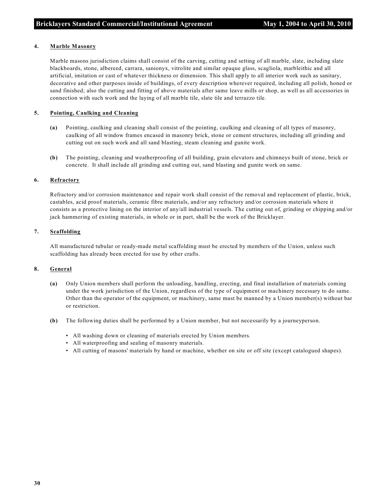#### **4. Marble Masonry**

Marble masons jurisdiction claims shall consist of the carving, cutting and setting of all marble, slate, including slate blackboards, stone, albereed, carrara, sanionyx, vitrolite and similar opaque glass, scagliola, marbleithic and all artificial, imitation or cast of whatever thickness or dimension. This shall apply to all interior work such as sanitary, decorative and other purposes inside of buildings, of every description wherever required, including all polish, honed or sand finished; also the cutting and fitting of above materials after same leave mills or shop, as well as all accessories in connection with such work and the laying of all marble tile, slate tile and terrazzo tile.

#### **5. Pointing, Caulking and Cleaning**

- **(a)** Pointing, caulking and cleaning shall consist of the pointing, caulking and cleaning of all types of masonry, caulking of all window frames encased in masonry brick, stone or cement structures, including all grinding and cutting out on such work and all sand blasting, steam cleaning and gunite work.
- **(b)** The pointing, cleaning and weatherproofing of all building, grain elevators and chimneys built of stone, brick or concrete. It shall include all grinding and cutting out, sand blasting and gunite work on same.

#### **6. Refractory**

Refractory and/or corrosion maintenance and repair work shall consist of the removal and replacement of plastic, brick, castables, acid proof materials, ceramic fibre materials, and/or any refractory and/or corrosion materials where it consists as a protective lining on the interior of any/all industrial vessels. The cutting out of, grinding or chipping and/or jack hammering of existing materials, in whole or in part, shall be the work of the Bricklayer.

#### **7. Scaffolding**

All manufactured tubular or ready-made metal scaffolding must be erected by members of the Union, unless such scaffolding has already been erected for use by other crafts.

#### **8. General**

- **(a)** Only Union members shall perform the unloading, handling, erecting, and final installation of materials coming under the work jurisdiction of the Union, regardless of the type of equipment or machinery necessary to do same. Other than the operator of the equipment, or machinery, same must be manned by a Union member(s) without bar or restriction.
- **(b)** The following duties shall be performed by a Union member, but not necessarily by a journeyperson.
	- All washing down or cleaning of materials erected by Union members.
	- All waterproofing and sealing of masonry materials.
	- All cutting of masons' materials by hand or machine, whether on site or off site (except catalogued shapes).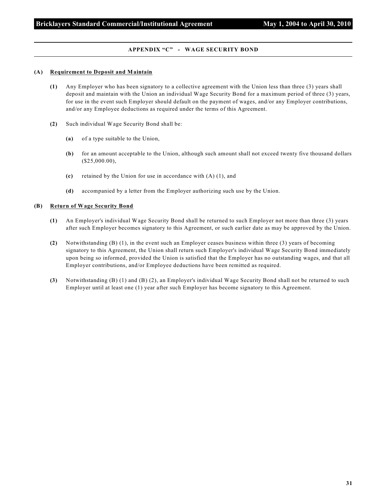#### **APPENDIX "C" - WAGE SECURITY BOND**

#### **(A) Requirement to Deposit and Maintain**

- **(1)** Any Employer who has been signatory to a collective agreement with the Union less than three (3) years shall deposit and maintain with the Union an individual Wage Security Bond for a maximum period of three (3) years, for use in the event such Employer should default on the payment of wages, and/or any Employer contributions, and/or any Employee deductions as required under the terms of this Agreement.
- **(2)** Such individual Wage Security Bond shall be:
	- **(a)** of a type suitable to the Union,
	- **(b)** for an amount acceptable to the Union, although such amount shall not exceed twenty five thousand dollars (\$25,000.00),
	- **(c)** retained by the Union for use in accordance with (A) (1), and
	- **(d)** accompanied by a letter from the Employer authorizing such use by the Union.

#### **(B) Return of Wage Security Bond**

- **(1)** An Employer's individual Wage Security Bond shall be returned to such Employer not more than three (3) years after such Employer becomes signatory to this Agreement, or such earlier date as may be approved by the Union.
- **(2)** Notwithstanding (B) (1), in the event such an Employer ceases business within three (3) years of becoming signatory to this Agreement, the Union shall return such Employer's individual Wage Security Bond immediately upon being so informed, provided the Union is satisfied that the Employer has no outstanding wages, and that all Employer contributions, and/or Employee deductions have been remitted as required.
- **(3)** Notwithstanding (B) (1) and (B) (2), an Employer's individual Wage Security Bond shall not be returned to such Employer until at least one (1) year after such Employer has become signatory to this Agreement.